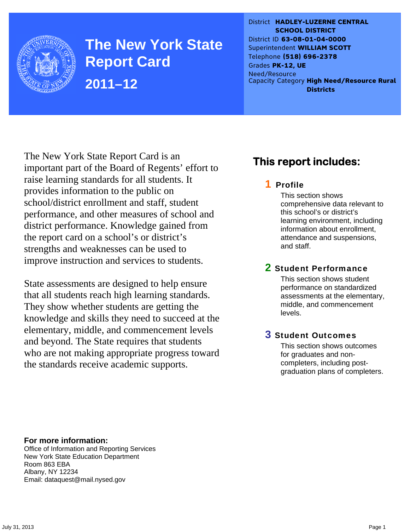

**The New York State Report Card 2011–12** 

District **HADLEY-LUZERNE CENTRAL SCHOOL DISTRICT** District ID **63-08-01-04-0000** Superintendent **WILLIAM SCOTT** Telephone **(518) 696-2378** Grades **PK-12, UE** Need/Resource Capacity Category **High Need/Resource Rural Districts**

The New York State Report Card is an important part of the Board of Regents' effort to raise learning standards for all students. It provides information to the public on school/district enrollment and staff, student performance, and other measures of school and district performance. Knowledge gained from the report card on a school's or district's strengths and weaknesses can be used to improve instruction and services to students.

State assessments are designed to help ensure that all students reach high learning standards. They show whether students are getting the knowledge and skills they need to succeed at the elementary, middle, and commencement levels and beyond. The State requires that students who are not making appropriate progress toward the standards receive academic supports.

## **This report includes:**

### 1 Profile

This section shows comprehensive data relevant to this school's or district's learning environment, including information about enrollment, attendance and suspensions, and staff.

### 2 Student Performance

This section shows student performance on standardized assessments at the elementary, middle, and commencement levels.

### 3 Student Outcomes

This section shows outcomes for graduates and noncompleters, including postgraduation plans of completers.

**For more information:**  Office of Information and Reporting Services New York State Education Department Room 863 EBA

Email: dataquest@mail.nysed.gov

Albany, NY 12234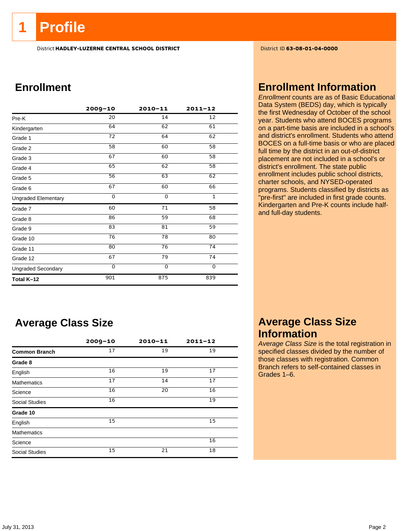# **1 Profile**

District **HADLEY-LUZERNE CENTRAL SCHOOL DISTRICT** District ID **63-08-01-04-0000**

## **Enrollment**

|                            | $2009 - 10$     | $2010 - 11$ | $2011 - 12$     |
|----------------------------|-----------------|-------------|-----------------|
| Pre-K                      | 20              | 14          | 12              |
| Kindergarten               | 64              | 62          | 61              |
| Grade 1                    | 72              | 64          | 62              |
| Grade 2                    | 58              | 60          | 58              |
| Grade 3                    | 67              | 60          | 58              |
| Grade 4                    | 65              | 62          | $\overline{58}$ |
| Grade 5                    | $\overline{56}$ | 63          | 62              |
| Grade 6                    | 67              | 60          | 66              |
| <b>Ungraded Elementary</b> | $\Omega$        | $\Omega$    | $\mathbf{1}$    |
| Grade 7                    | 60              | 71          | 58              |
| Grade 8                    | 86              | 59          | 68              |
| Grade 9                    | 83              | 81          | 59              |
| Grade 10                   | 76              | 78          | 80              |
| Grade 11                   | 80              | 76          | 74              |
| Grade 12                   | 67              | 79          | 74              |
| <b>Ungraded Secondary</b>  | $\Omega$        | $\mathbf 0$ | $\mathbf 0$     |
| Total K-12                 | 901             | 875         | 839             |

## **Average Class Size**

|                       | $2009 - 10$ | $2010 - 11$ | $2011 - 12$ |
|-----------------------|-------------|-------------|-------------|
| <b>Common Branch</b>  | 17          | 19          | 19          |
| Grade 8               |             |             |             |
| English               | 16          | 19          | 17          |
| <b>Mathematics</b>    | 17          | 14          | 17          |
| Science               | 16          | 20          | 16          |
| <b>Social Studies</b> | 16          |             | 19          |
| Grade 10              |             |             |             |
| English               | 15          |             | 15          |
| <b>Mathematics</b>    |             |             |             |
| Science               |             |             | 16          |
| <b>Social Studies</b> | 15          | 21          | 18          |

## **Enrollment Information**

*Enrollment* counts are as of Basic Educational Data System (BEDS) day, which is typically the first Wednesday of October of the school year. Students who attend BOCES programs on a part-time basis are included in a school's and district's enrollment. Students who attend BOCES on a full-time basis or who are placed full time by the district in an out-of-district placement are not included in a school's or district's enrollment. The state public enrollment includes public school districts, charter schools, and NYSED-operated programs. Students classified by districts as "pre-first" are included in first grade counts. Kindergarten and Pre-K counts include halfand full-day students.

## **Average Class Size Information**

*Average Class Size* is the total registration in specified classes divided by the number of those classes with registration. Common Branch refers to self-contained classes in Grades 1–6.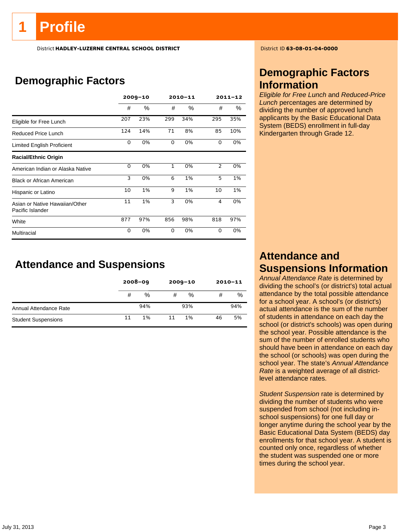District **HADLEY-LUZERNE CENTRAL SCHOOL DISTRICT** District ID **63-08-01-04-0000**

## **Demographic Factors**

|                                                    |     | $2009 - 10$ | $2010 - 11$  |      | $2011 - 12$    |     |
|----------------------------------------------------|-----|-------------|--------------|------|----------------|-----|
|                                                    | #   | %           | #            | $\%$ | #              | ℅   |
| Eligible for Free Lunch                            | 207 | 23%         | 299          | 34%  | 295            | 35% |
| Reduced Price Lunch                                | 124 | 14%         | 71           | 8%   | 85             | 10% |
| Limited English Proficient                         | 0   | 0%          | 0            | 0%   | 0              | 0%  |
| <b>Racial/Ethnic Origin</b>                        |     |             |              |      |                |     |
| American Indian or Alaska Native                   | 0   | 0%          | $\mathbf{1}$ | 0%   | $\overline{2}$ | 0%  |
| <b>Black or African American</b>                   | 3   | 0%          | 6            | 1%   | 5              | 1%  |
| Hispanic or Latino                                 | 10  | 1%          | 9            | 1%   | 10             | 1%  |
| Asian or Native Hawaiian/Other<br>Pacific Islander | 11  | 1%          | 3            | 0%   | 4              | 0%  |
| White                                              | 877 | 97%         | 856          | 98%  | 818            | 97% |
| Multiracial                                        | 0   | 0%          | $\Omega$     | 0%   | 0              | 0%  |

**Attendance and Suspensions** 

|                            |    | $2008 - 09$ |    | $2009 - 10$ | $2010 - 11$ |     |
|----------------------------|----|-------------|----|-------------|-------------|-----|
|                            | #  | %           | #  | $\%$        | #           | %   |
| Annual Attendance Rate     |    | 94%         |    | 93%         |             | 94% |
| <b>Student Suspensions</b> | 11 | 1%          | 11 | 1%          | 46          | 5%  |

## **Demographic Factors Information**

*Eligible for Free Lunch* and *Reduced-Price Lunch* percentages are determined by dividing the number of approved lunch applicants by the Basic Educational Data System (BEDS) enrollment in full-day Kindergarten through Grade 12.

## **Attendance and Suspensions Information**

*Annual Attendance Rate* is determined by dividing the school's (or district's) total actual attendance by the total possible attendance for a school year. A school's (or district's) actual attendance is the sum of the number of students in attendance on each day the school (or district's schools) was open during the school year. Possible attendance is the sum of the number of enrolled students who should have been in attendance on each day the school (or schools) was open during the school year. The state's *Annual Attendance Rate* is a weighted average of all districtlevel attendance rates.

*Student Suspension* rate is determined by dividing the number of students who were suspended from school (not including inschool suspensions) for one full day or longer anytime during the school year by the Basic Educational Data System (BEDS) day enrollments for that school year. A student is counted only once, regardless of whether the student was suspended one or more times during the school year.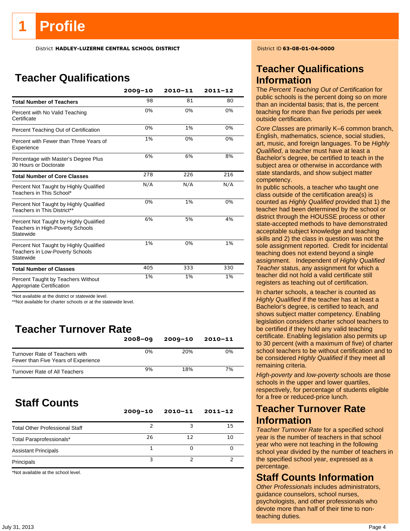District **HADLEY-LUZERNE CENTRAL SCHOOL DISTRICT** District ID **63-08-01-04-0000**

## **Teacher Qualifications**

|                                                                                               | $2009 - 10$ | $2010 - 11$ | $2011 - 12$ |
|-----------------------------------------------------------------------------------------------|-------------|-------------|-------------|
| <b>Total Number of Teachers</b>                                                               | 98          | 81          | 80          |
| Percent with No Valid Teaching<br>Certificate                                                 | 0%          | 0%          | 0%          |
| Percent Teaching Out of Certification                                                         | 0%          | 1%          | 0%          |
| Percent with Fewer than Three Years of<br>Experience                                          | 1%          | 0%          | 0%          |
| Percentage with Master's Degree Plus<br>30 Hours or Doctorate                                 | 6%          | 6%          | 8%          |
| <b>Total Number of Core Classes</b>                                                           | 278         | 226         | 216         |
| Percent Not Taught by Highly Qualified<br>Teachers in This School*                            | N/A         | N/A         | N/A         |
| Percent Not Taught by Highly Qualified<br>Teachers in This District**                         | 0%          | 1%          | 0%          |
| Percent Not Taught by Highly Qualified<br>Teachers in High-Poverty Schools<br>Statewide       | 6%          | 5%          | 4%          |
| Percent Not Taught by Highly Qualified<br><b>Teachers in Low-Poverty Schools</b><br>Statewide | 1%          | 0%          | 1%          |
| <b>Total Number of Classes</b>                                                                | 405         | 333         | 330         |
| Percent Taught by Teachers Without<br>Appropriate Certification                               | 1%          | 1%          | 1%          |

\*Not available at the district or statewide level.

\*\*Not available for charter schools or at the statewide level.

## **Teacher Turnover Rate**

|                                                                       | $2008 - 09$ | $2009 - 10$ | 2010-11 |
|-----------------------------------------------------------------------|-------------|-------------|---------|
| Turnover Rate of Teachers with<br>Fewer than Five Years of Experience | 0%          | 20%         | 0%      |
| Turnover Rate of All Teachers                                         | 9%          | 18%         | 7%      |

## **Staff Counts**

|                                       | $2009 - 10$ | $2010 - 11$ | $2011 - 12$ |
|---------------------------------------|-------------|-------------|-------------|
| <b>Total Other Professional Staff</b> |             |             | 15          |
| Total Paraprofessionals*              | 26          | 12          | 10          |
| <b>Assistant Principals</b>           |             |             |             |
| Principals                            |             |             |             |

\*Not available at the school level.

## **Teacher Qualifications Information**

The *Percent Teaching Out of Certification* for public schools is the percent doing so on more than an incidental basis; that is, the percent teaching for more than five periods per week outside certification.

*Core Classes* are primarily K–6 common branch, English, mathematics, science, social studies, art, music, and foreign languages. To be *Highly Qualified*, a teacher must have at least a Bachelor's degree, be certified to teach in the subject area or otherwise in accordance with state standards, and show subject matter competency.

In public schools, a teacher who taught one class outside of the certification area(s) is counted as *Highly Qualified* provided that 1) the teacher had been determined by the school or district through the HOUSSE process or other state-accepted methods to have demonstrated acceptable subject knowledge and teaching skills and 2) the class in question was not the sole assignment reported. Credit for incidental teaching does not extend beyond a single assignment. Independent of *Highly Qualified Teacher* status, any assignment for which a teacher did not hold a valid certificate still registers as teaching out of certification.

In charter schools, a teacher is counted as *Highly Qualified* if the teacher has at least a Bachelor's degree, is certified to teach, and shows subject matter competency. Enabling legislation considers charter school teachers to be certified if they hold any valid teaching certificate. Enabling legislation also permits up to 30 percent (with a maximum of five) of charter school teachers to be without certification and to be considered *Highly Qualified* if they meet all remaining criteria.

*High-poverty* and *low-poverty* schools are those schools in the upper and lower quartiles, respectively, for percentage of students eligible for a free or reduced-price lunch.

## **Teacher Turnover Rate Information**

*Teacher Turnover Rate* for a specified school year is the number of teachers in that school year who were not teaching in the following school year divided by the number of teachers in the specified school year, expressed as a percentage.

### **Staff Counts Information**

*Other Professionals* includes administrators, guidance counselors, school nurses, psychologists, and other professionals who devote more than half of their time to nonteaching duties.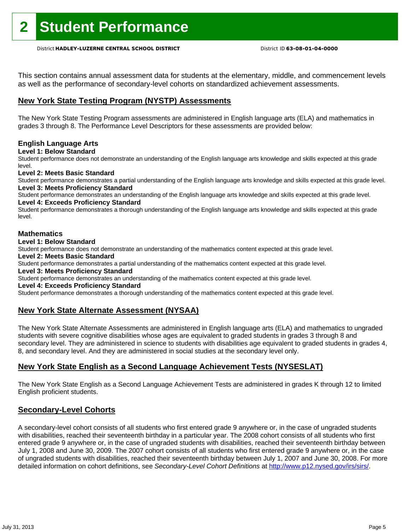This section contains annual assessment data for students at the elementary, middle, and commencement levels as well as the performance of secondary-level cohorts on standardized achievement assessments.

### **New York State Testing Program (NYSTP) Assessments**

The New York State Testing Program assessments are administered in English language arts (ELA) and mathematics in grades 3 through 8. The Performance Level Descriptors for these assessments are provided below:

#### **English Language Arts**

**Level 1: Below Standard** 

Student performance does not demonstrate an understanding of the English language arts knowledge and skills expected at this grade level.

#### **Level 2: Meets Basic Standard**

Student performance demonstrates a partial understanding of the English language arts knowledge and skills expected at this grade level. **Level 3: Meets Proficiency Standard** 

Student performance demonstrates an understanding of the English language arts knowledge and skills expected at this grade level. **Level 4: Exceeds Proficiency Standard** 

Student performance demonstrates a thorough understanding of the English language arts knowledge and skills expected at this grade level.

#### **Mathematics**

#### **Level 1: Below Standard**

Student performance does not demonstrate an understanding of the mathematics content expected at this grade level.

#### **Level 2: Meets Basic Standard**

Student performance demonstrates a partial understanding of the mathematics content expected at this grade level.

#### **Level 3: Meets Proficiency Standard**

Student performance demonstrates an understanding of the mathematics content expected at this grade level.

#### **Level 4: Exceeds Proficiency Standard**

Student performance demonstrates a thorough understanding of the mathematics content expected at this grade level.

### **New York State Alternate Assessment (NYSAA)**

The New York State Alternate Assessments are administered in English language arts (ELA) and mathematics to ungraded students with severe cognitive disabilities whose ages are equivalent to graded students in grades 3 through 8 and secondary level. They are administered in science to students with disabilities age equivalent to graded students in grades 4, 8, and secondary level. And they are administered in social studies at the secondary level only.

### **New York State English as a Second Language Achievement Tests (NYSESLAT)**

The New York State English as a Second Language Achievement Tests are administered in grades K through 12 to limited English proficient students.

### **Secondary-Level Cohorts**

A secondary-level cohort consists of all students who first entered grade 9 anywhere or, in the case of ungraded students with disabilities, reached their seventeenth birthday in a particular year. The 2008 cohort consists of all students who first entered grade 9 anywhere or, in the case of ungraded students with disabilities, reached their seventeenth birthday between July 1, 2008 and June 30, 2009. The 2007 cohort consists of all students who first entered grade 9 anywhere or, in the case of ungraded students with disabilities, reached their seventeenth birthday between July 1, 2007 and June 30, 2008. For more detailed information on cohort definitions, see *Secondary-Level Cohort Definitions* at http://www.p12.nysed.gov/irs/sirs/.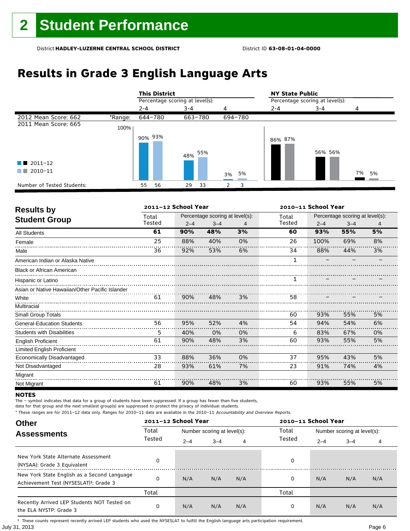## **Results in Grade 3 English Language Arts**

|                            |         | <b>This District</b> |                                 |          | <b>NY State Public</b>          |          |  |
|----------------------------|---------|----------------------|---------------------------------|----------|---------------------------------|----------|--|
|                            |         |                      | Percentage scoring at level(s): |          | Percentage scoring at level(s): |          |  |
|                            |         | $2 - 4$              | $3 - 4$                         | 4        | $2 - 4$<br>3-4                  | 4        |  |
| 2012 Mean Score: 662       | *Range: | 644-780              | 663-780                         | 694-780  |                                 |          |  |
| 2011 Mean Score: 665       | 100%    |                      |                                 |          |                                 |          |  |
|                            |         | 90% 93%              | 48% 55%                         |          | 86% 87%<br>56% 56%              |          |  |
| $\blacksquare$ 2011-12     |         |                      |                                 |          |                                 |          |  |
| 2010-11<br>. .             |         |                      |                                 | 5%<br>3% |                                 | 7%<br>5% |  |
| Number of Tested Students: |         | 55<br>56             | 33<br>29                        | 3<br>2   |                                 |          |  |

| <b>Results by</b>                               | 2011-12 School Year |         |                                 |    | 2010-11 School Year |                                 |         |    |
|-------------------------------------------------|---------------------|---------|---------------------------------|----|---------------------|---------------------------------|---------|----|
| <b>Student Group</b>                            | Total               |         | Percentage scoring at level(s): |    | Total               | Percentage scoring at level(s): |         |    |
|                                                 | Tested              | $2 - 4$ | $3 - 4$                         | 4  | Tested              | $2 - 4$                         | $3 - 4$ | 4  |
| <b>All Students</b>                             | 61                  | 90%     | 48%                             | 3% | 60                  | 93%                             | 55%     | 5% |
| Female                                          | 25                  | 88%     | 40%                             | 0% | 26                  | 100%                            | 69%     | 8% |
| Male                                            | 36                  | 92%     | 53%                             | 6% | 34                  | 88%                             | 44%     | 3% |
| American Indian or Alaska Native                |                     |         |                                 |    | $\mathbf{1}$        |                                 |         |    |
| <b>Black or African American</b>                |                     |         |                                 |    |                     |                                 |         |    |
| Hispanic or Latino                              |                     |         |                                 |    |                     |                                 |         |    |
| Asian or Native Hawaiian/Other Pacific Islander |                     |         |                                 |    |                     |                                 |         |    |
| White                                           | 61                  | 90%     | 48%                             | 3% | 58                  |                                 |         |    |
| Multiracial                                     |                     |         |                                 |    |                     |                                 |         |    |
| Small Group Totals                              |                     |         |                                 |    | 60                  | 93%                             | 55%     | 5% |
| <b>General-Education Students</b>               | 56                  | 95%     | 52%                             | 4% | 54                  | 94%                             | 54%     | 6% |
| <b>Students with Disabilities</b>               | 5                   | 40%     | 0%                              | 0% | 6                   | 83%                             | 67%     | 0% |
| <b>English Proficient</b>                       | 61                  | 90%     | 48%                             | 3% | 60                  | 93%                             | 55%     | 5% |
| Limited English Proficient                      |                     |         |                                 |    |                     |                                 |         |    |
| <b>Economically Disadvantaged</b>               | 33                  | 88%     | 36%                             | 0% | 37                  | 95%                             | 43%     | 5% |
| Not Disadvantaged                               | 28                  | 93%     | 61%                             | 7% | 23                  | 91%                             | 74%     | 4% |
| Migrant                                         |                     |         |                                 |    |                     |                                 |         |    |
| Not Migrant                                     | 61                  | 90%     | 48%                             | 3% | 60                  | 93%                             | 55%     | 5% |

#### **NOTES**

The – symbol indicates that data for a group of students have been suppressed. If a group has fewer than five students,

data for that group and the next smallest group(s) are suppressed to protect the privacy of individual students.

\* These ranges are for 2011–12 data only. Ranges for 2010–11 data are available in the 2010–11 Accountability and Overview Reports.

| <b>Other</b>                                                                                      |                                      | 2011-12 School Year |         |       | 2010-11 School Year         |         |         |     |
|---------------------------------------------------------------------------------------------------|--------------------------------------|---------------------|---------|-------|-----------------------------|---------|---------|-----|
| <b>Assessments</b>                                                                                | Total<br>Number scoring at level(s): |                     |         | Total | Number scoring at level(s): |         |         |     |
|                                                                                                   | Tested                               | $2 - 4$             | $3 - 4$ | 4     | Tested                      | $2 - 4$ | $3 - 4$ | 4   |
| New York State Alternate Assessment<br>(NYSAA): Grade 3 Equivalent                                |                                      |                     |         |       | 0                           |         |         |     |
| New York State English as a Second Language<br>Achievement Test (NYSESLAT) <sup>+</sup> : Grade 3 |                                      | N/A                 | N/A     | N/A   | 0                           | N/A     | N/A     | N/A |
|                                                                                                   | Total                                |                     |         |       | Total                       |         |         |     |
| Recently Arrived LEP Students NOT Tested on<br>the ELA NYSTP: Grade 3                             |                                      | N/A                 | N/A     | N/A   | 0                           | N/A     | N/A     | N/A |

July 31, 2013 Page 6 † These counts represent recently arrived LEP students who used the NYSESLAT to fulfill the English language arts participation requirement.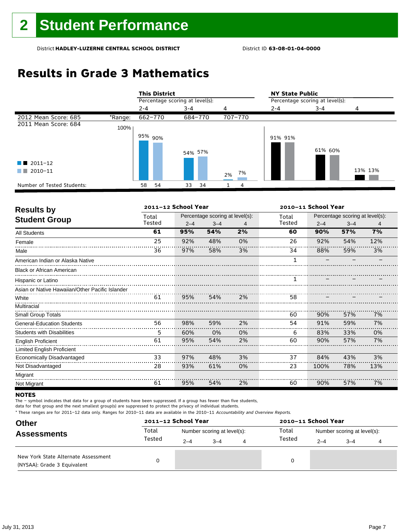## **Results in Grade 3 Mathematics**

|                            |         | <b>This District</b> |                                 |          | <b>NY State Public</b> |                                 |         |  |  |
|----------------------------|---------|----------------------|---------------------------------|----------|------------------------|---------------------------------|---------|--|--|
|                            |         |                      | Percentage scoring at level(s): |          |                        | Percentage scoring at level(s): |         |  |  |
|                            |         | $2 - 4$              | $3 - 4$                         | 4        | $2 - 4$                | $3 - 4$                         | 4       |  |  |
| 2012 Mean Score: 685       | *Range: | 662-770              | 684-770                         | 707-770  |                        |                                 |         |  |  |
| 2011 Mean Score: 684       | 100%    |                      |                                 |          |                        |                                 |         |  |  |
|                            |         | $95\%$ 90%           | 54% 57%                         |          | 91% 91%                | 61% 60%                         |         |  |  |
| $\blacksquare$ 2011-12     |         |                      |                                 |          |                        |                                 |         |  |  |
| 2010-11<br>a sa T          |         |                      |                                 | 7%<br>2% |                        |                                 | 13% 13% |  |  |
| Number of Tested Students: |         | 54<br>58             | 34<br>33                        | 4        |                        |                                 |         |  |  |

| <b>Results by</b>                               | 2011-12 School Year |                                 |         |       | 2010-11 School Year |                                 |         |     |
|-------------------------------------------------|---------------------|---------------------------------|---------|-------|---------------------|---------------------------------|---------|-----|
| <b>Student Group</b>                            | Total               | Percentage scoring at level(s): |         | Total |                     | Percentage scoring at level(s): |         |     |
|                                                 | Tested              | $2 - 4$                         | $3 - 4$ | 4     | Tested              | $2 - 4$                         | $3 - 4$ | 4   |
| <b>All Students</b>                             | 61                  | 95%                             | 54%     | 2%    | 60                  | 90%                             | 57%     | 7%  |
| Female                                          | 25                  | 92%                             | 48%     | 0%    | 26                  | 92%                             | 54%     | 12% |
| Male                                            | 36                  | 97%                             | 58%     | 3%    | 34                  | 88%                             | 59%     | 3%  |
| American Indian or Alaska Native                |                     |                                 |         |       | $\mathbf{1}$        |                                 |         |     |
| <b>Black or African American</b>                |                     |                                 |         |       |                     |                                 |         |     |
| Hispanic or Latino                              |                     |                                 |         |       |                     |                                 |         |     |
| Asian or Native Hawaiian/Other Pacific Islander |                     |                                 |         |       |                     |                                 |         |     |
| White                                           | 61                  | 95%                             | 54%     | 2%    | 58                  |                                 |         |     |
| Multiracial                                     |                     |                                 |         |       |                     |                                 |         |     |
| Small Group Totals                              |                     |                                 |         |       | 60                  | 90%                             | 57%     | 7%  |
| <b>General-Education Students</b>               | 56                  | 98%                             | 59%     | 2%    | 54                  | 91%                             | 59%     | 7%  |
| <b>Students with Disabilities</b>               | 5                   | 60%                             | 0%      | 0%    | 6                   | 83%                             | 33%     | 0%  |
| <b>English Proficient</b>                       | 61                  | 95%                             | 54%     | 2%    | 60                  | 90%                             | 57%     | 7%  |
| Limited English Proficient                      |                     |                                 |         |       |                     |                                 |         |     |
| <b>Economically Disadvantaged</b>               | 33                  | 97%                             | 48%     | 3%    | 37                  | 84%                             | 43%     | 3%  |
| Not Disadvantaged                               | 28                  | 93%                             | 61%     | 0%    | 23                  | 100%                            | 78%     | 13% |
| Migrant                                         |                     |                                 |         |       |                     |                                 |         |     |
| Not Migrant                                     | 61                  | 95%                             | 54%     | 2%    | 60                  | 90%                             | 57%     | 7%  |

#### **NOTES**

The – symbol indicates that data for a group of students have been suppressed. If a group has fewer than five students,

data for that group and the next smallest group(s) are suppressed to protect the privacy of individual students.

| <b>Other</b>                                                       |        | 2011-12 School Year |                             |   | 2010-11 School Year |                             |         |  |  |
|--------------------------------------------------------------------|--------|---------------------|-----------------------------|---|---------------------|-----------------------------|---------|--|--|
| <b>Assessments</b>                                                 | Total  |                     | Number scoring at level(s): |   | Total               | Number scoring at level(s): |         |  |  |
|                                                                    | Tested | $2 - 4$             | $3 - 4$                     | 4 | Tested              | $2 - 4$                     | $3 - 4$ |  |  |
| New York State Alternate Assessment<br>(NYSAA): Grade 3 Equivalent |        |                     |                             |   | 0                   |                             |         |  |  |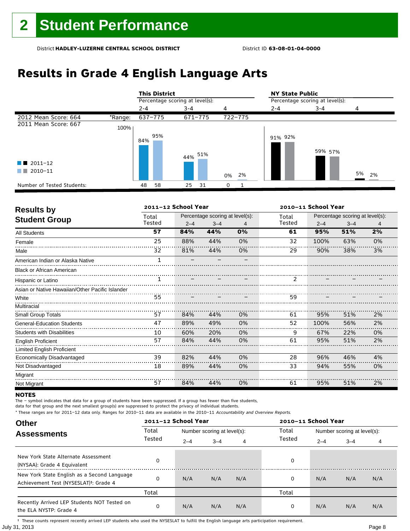## **Results in Grade 4 English Language Arts**

|                            |         |         | <b>This District</b>            |         |         |          |         | <b>NY State Public</b>          |         |          |  |  |
|----------------------------|---------|---------|---------------------------------|---------|---------|----------|---------|---------------------------------|---------|----------|--|--|
|                            |         |         | Percentage scoring at level(s): |         |         |          |         | Percentage scoring at level(s): |         |          |  |  |
|                            |         | $2 - 4$ |                                 | $3 - 4$ |         | 4        |         | $2 - 4$                         | $3 - 4$ | 4        |  |  |
| 2012 Mean Score: 664       | *Range: |         | 637-775                         | 671-775 |         |          | 722-775 |                                 |         |          |  |  |
| 2011 Mean Score: 667       | 100%    |         |                                 |         |         |          |         |                                 |         |          |  |  |
|                            |         | 84%     | 95%                             |         | 44% 51% |          |         | 91% 92%                         | 59% 57% |          |  |  |
| $\blacksquare$ 2011-12     |         |         |                                 |         |         |          |         |                                 |         |          |  |  |
| 2010-11<br>a sa na         |         |         |                                 |         |         | 0%       | 2%      |                                 |         | 5%<br>2% |  |  |
| Number of Tested Students: |         | 48      | 58                              | 25      | 31      | $\Omega$ |         |                                 |         |          |  |  |

| <b>Results by</b>                               |        | 2011-12 School Year |                                 |    | 2010-11 School Year |                                                                                                               |         |    |  |
|-------------------------------------------------|--------|---------------------|---------------------------------|----|---------------------|---------------------------------------------------------------------------------------------------------------|---------|----|--|
| <b>Student Group</b>                            | Total  |                     | Percentage scoring at level(s): |    | Total               | Percentage scoring at level(s):                                                                               |         |    |  |
|                                                 | Tested | $2 - 4$             | $3 - 4$                         | 4  | Tested              | $2 - 4$                                                                                                       | $3 - 4$ | 4  |  |
| All Students                                    | 57     | 84%                 | 44%                             | 0% | 61                  | 95%                                                                                                           | 51%     | 2% |  |
| Female                                          | 25     | 88%                 | 44%                             | 0% | 32                  | 100%                                                                                                          | 63%     | 0% |  |
| Male                                            | 32     | 81%                 | 44%                             | 0% | 29                  | 90%                                                                                                           | 38%     | 3% |  |
| American Indian or Alaska Native                | 1      |                     |                                 |    |                     |                                                                                                               |         |    |  |
| <b>Black or African American</b>                |        |                     |                                 |    |                     |                                                                                                               |         |    |  |
| Hispanic or Latino                              |        |                     |                                 |    | $\mathcal{P}$       |                                                                                                               |         |    |  |
| Asian or Native Hawaiian/Other Pacific Islander |        |                     |                                 |    |                     |                                                                                                               |         |    |  |
| White                                           |        |                     |                                 |    |                     | $\begin{array}{ccc}\n & \cdots & \cdots & \cdots & \cdots \\ \hline\n59 & & - & \cdots & \cdots\n\end{array}$ |         |    |  |
| Multiracial                                     |        |                     |                                 |    |                     |                                                                                                               |         |    |  |
| <b>Small Group Totals</b>                       | 57     | 84%                 | 44%                             | 0% | 61                  | 95%                                                                                                           | 51%     | 2% |  |
| <b>General-Education Students</b>               | 47     | 89%                 | 49%                             | 0% | 52                  | 100%                                                                                                          | 56%     | 2% |  |
| <b>Students with Disabilities</b>               | 10     | 60%                 | 20%                             | 0% | 9                   | 67%                                                                                                           | 22%     | 0% |  |
| <b>English Proficient</b>                       | 57     | 84%                 | 44%                             | 0% | 61                  | 95%                                                                                                           | 51%     | 2% |  |
| <b>Limited English Proficient</b>               |        |                     |                                 |    |                     |                                                                                                               |         |    |  |
| Economically Disadvantaged                      | 39     | 82%                 | 44%                             | 0% | 28                  | 96%                                                                                                           | 46%     | 4% |  |
| Not Disadvantaged                               | 18     | 89%                 | 44%                             | 0% | 33                  | 94%                                                                                                           | 55%     | 0% |  |
| Migrant                                         |        |                     |                                 |    |                     |                                                                                                               |         |    |  |
| Not Migrant                                     | 57     | 84%                 | 44%                             | 0% | 61                  | 95%                                                                                                           | 51%     | 2% |  |

#### **NOTES**

The – symbol indicates that data for a group of students have been suppressed. If a group has fewer than five students,

data for that group and the next smallest group(s) are suppressed to protect the privacy of individual students.

\* These ranges are for 2011–12 data only. Ranges for 2010–11 data are available in the 2010–11 Accountability and Overview Reports.

| <b>Other</b>                                                                                      |        | 2011-12 School Year |                             |     |        | 2010-11 School Year         |         |     |  |  |
|---------------------------------------------------------------------------------------------------|--------|---------------------|-----------------------------|-----|--------|-----------------------------|---------|-----|--|--|
| <b>Assessments</b>                                                                                | Total  |                     | Number scoring at level(s): |     | Total  | Number scoring at level(s): |         |     |  |  |
|                                                                                                   | Tested | $2 - 4$             | $3 - 4$                     | 4   | Tested | $2 - 4$                     | $3 - 4$ | 4   |  |  |
| New York State Alternate Assessment<br>(NYSAA): Grade 4 Equivalent                                |        |                     |                             |     | 0      |                             |         |     |  |  |
| New York State English as a Second Language<br>Achievement Test (NYSESLAT) <sup>†</sup> : Grade 4 |        | N/A                 | N/A                         | N/A | 0      | N/A                         | N/A     | N/A |  |  |
|                                                                                                   | Total  |                     |                             |     | Total  |                             |         |     |  |  |
| Recently Arrived LEP Students NOT Tested on<br>the ELA NYSTP: Grade 4                             |        | N/A                 | N/A                         | N/A | 0      | N/A                         | N/A     | N/A |  |  |

July 31, 2013 Page 8 † These counts represent recently arrived LEP students who used the NYSESLAT to fulfill the English language arts participation requirement.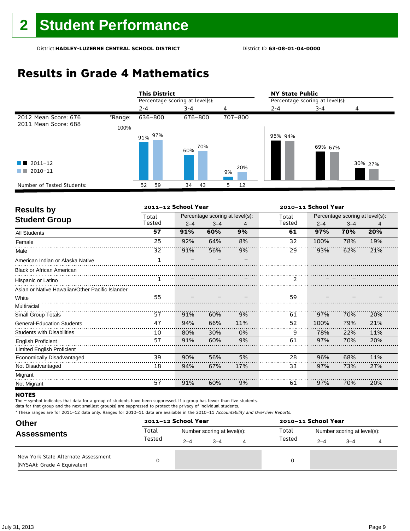## **Results in Grade 4 Mathematics**

|                            |         | <b>This District</b>            |            |         | <b>NY State Public</b><br>Percentage scoring at level(s): |         |         |  |  |
|----------------------------|---------|---------------------------------|------------|---------|-----------------------------------------------------------|---------|---------|--|--|
|                            |         | Percentage scoring at level(s): |            |         |                                                           |         |         |  |  |
|                            |         | $2 - 4$                         | $3 - 4$    | 4       | $2 - 4$                                                   | $3 - 4$ | 4       |  |  |
| 2012 Mean Score: 676       | *Range: | 636-800                         | 676-800    | 707-800 |                                                           |         |         |  |  |
| 2011 Mean Score: 688       | 100%    |                                 |            |         |                                                           |         |         |  |  |
|                            |         | $91\%$ 97%                      | 70%<br>60% |         | 95% 94%                                                   | 69% 67% |         |  |  |
| $\blacksquare$ 2011-12     |         |                                 |            | 20%     |                                                           |         | 30% 27% |  |  |
| 2010-11<br>a sa T          |         |                                 |            | 9%      |                                                           |         |         |  |  |
| Number of Tested Students: |         | 52<br>59                        | 43<br>34   | 12<br>5 |                                                           |         |         |  |  |

| <b>Results by</b>                               |        | 2011-12 School Year |                                 |     | 2010-11 School Year |                                 |         |     |  |
|-------------------------------------------------|--------|---------------------|---------------------------------|-----|---------------------|---------------------------------|---------|-----|--|
| <b>Student Group</b>                            | Total  |                     | Percentage scoring at level(s): |     | Total               | Percentage scoring at level(s): |         |     |  |
|                                                 | Tested | $2 - 4$             | $3 - 4$                         | 4   | Tested              | $2 - 4$                         | $3 - 4$ | 4   |  |
| All Students                                    | 57     | 91%                 | 60%                             | 9%  | 61                  | 97%                             | 70%     | 20% |  |
| Female                                          | 25     | 92%                 | 64%                             | 8%  | 32                  | 100%                            | 78%     | 19% |  |
| Male                                            | 32     | 91%                 | 56%                             | 9%  | 29                  | 93%                             | 62%     | 21% |  |
| American Indian or Alaska Native                | 1      |                     |                                 |     |                     |                                 |         |     |  |
| <b>Black or African American</b>                |        |                     |                                 |     |                     |                                 |         |     |  |
| Hispanic or Latino                              |        |                     |                                 |     | $\mathcal{P}$       |                                 |         |     |  |
| Asian or Native Hawaiian/Other Pacific Islander |        |                     |                                 |     |                     |                                 |         |     |  |
| White                                           |        | $\frac{1}{55}$      |                                 |     |                     |                                 |         |     |  |
| Multiracial                                     |        |                     |                                 |     |                     |                                 |         |     |  |
| <b>Small Group Totals</b>                       | 57     | 91%                 | 60%                             | 9%  | 61                  | 97%                             | 70%     | 20% |  |
| <b>General-Education Students</b>               | 47     | 94%                 | 66%                             | 11% | 52                  | 100%                            | 79%     | 21% |  |
| <b>Students with Disabilities</b>               | 10     | 80%                 | 30%                             | 0%  | 9                   | 78%                             | 22%     | 11% |  |
| <b>English Proficient</b>                       | 57     | 91%                 | 60%                             | 9%  | 61                  | 97%                             | 70%     | 20% |  |
| <b>Limited English Proficient</b>               |        |                     |                                 |     |                     |                                 |         |     |  |
| Economically Disadvantaged                      | 39     | 90%                 | 56%                             | 5%  | 28                  | 96%                             | 68%     | 11% |  |
| Not Disadvantaged                               | 18     | 94%                 | 67%                             | 17% | 33                  | 97%                             | 73%     | 27% |  |
| Migrant                                         |        |                     |                                 |     |                     |                                 |         |     |  |
| Not Migrant                                     | 57     | 91%                 | 60%                             | 9%  | 61                  | 97%                             | 70%     | 20% |  |

#### **NOTES**

The – symbol indicates that data for a group of students have been suppressed. If a group has fewer than five students,

data for that group and the next smallest group(s) are suppressed to protect the privacy of individual students.

| <b>Other</b>                                                       |        | 2011-12 School Year |                             |   | 2010-11 School Year |                             |         |  |  |
|--------------------------------------------------------------------|--------|---------------------|-----------------------------|---|---------------------|-----------------------------|---------|--|--|
| <b>Assessments</b>                                                 | Total  |                     | Number scoring at level(s): |   | Total               | Number scoring at level(s): |         |  |  |
|                                                                    | Tested | $2 - 4$             | $3 - 4$                     | 4 | Tested              | $2 - 4$                     | $3 - 4$ |  |  |
| New York State Alternate Assessment<br>(NYSAA): Grade 4 Equivalent |        |                     |                             |   | 0                   |                             |         |  |  |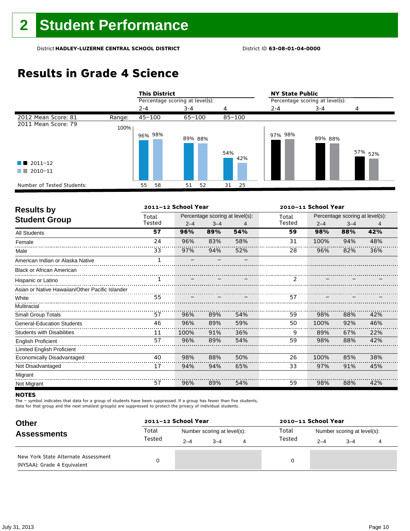## **Results in Grade 4 Science**

|                                                                         |        | <b>This District</b> |                                 |            |    |            |     | <b>NY State Public</b>          |         |                    |  |  |
|-------------------------------------------------------------------------|--------|----------------------|---------------------------------|------------|----|------------|-----|---------------------------------|---------|--------------------|--|--|
|                                                                         |        |                      | Percentage scoring at level(s): |            |    |            |     | Percentage scoring at level(s): |         |                    |  |  |
|                                                                         |        | $2 - 4$              |                                 | $3 - 4$    |    | 4          |     | $2 - 4$                         | $3 - 4$ | 4                  |  |  |
| 2012 Mean Score: 81                                                     | Range: | $45 - 100$           |                                 | $65 - 100$ |    | $85 - 100$ |     |                                 |         |                    |  |  |
| 2011 Mean Score: 79<br>$\blacksquare$ 2011-12<br>2010-11<br>a kacamatan | 100%   | 96% 98%              |                                 | 89% 88%    |    | 54%        | 42% | 97% 98%                         | 89% 88% | 57% <sub>52%</sub> |  |  |
| Number of Tested Students:                                              |        | 55                   | 58                              | 51         | 52 | 31         | 25  |                                 |         |                    |  |  |

| <b>Results by</b>                               |        | 2011-12 School Year |                                 |     | 2010-11 School Year |                                 |         |     |  |
|-------------------------------------------------|--------|---------------------|---------------------------------|-----|---------------------|---------------------------------|---------|-----|--|
| <b>Student Group</b>                            | Total  |                     | Percentage scoring at level(s): |     | Total               | Percentage scoring at level(s): |         |     |  |
|                                                 | Tested | $2 - 4$             | $3 - 4$                         | 4   | Tested              | $2 - 4$                         | $3 - 4$ | 4   |  |
| All Students                                    | 57     | 96%                 | 89%                             | 54% | 59                  | 98%                             | 88%     | 42% |  |
| Female                                          | 24     | 96%                 | 83%                             | 58% | 31                  | 100%                            | 94%     | 48% |  |
| Male                                            | 33     | 97%                 | 94%                             | 52% | 28                  | 96%                             | 82%     | 36% |  |
| American Indian or Alaska Native                | 1      |                     |                                 |     |                     |                                 |         |     |  |
| <b>Black or African American</b>                |        |                     |                                 |     |                     |                                 |         |     |  |
| Hispanic or Latino                              |        |                     |                                 |     | $\mathcal{P}$       |                                 |         |     |  |
| Asian or Native Hawaiian/Other Pacific Islander |        |                     |                                 |     |                     |                                 |         |     |  |
| White                                           |        |                     |                                 |     |                     | 57                              |         |     |  |
| Multiracial                                     |        |                     |                                 |     |                     |                                 |         |     |  |
| Small Group Totals                              | 57     | 96%                 | 89%                             | 54% | 59                  | 98%                             | 88%     | 42% |  |
| <b>General-Education Students</b>               | 46     | 96%                 | 89%                             | 59% | 50                  | 100%                            | 92%     | 46% |  |
| <b>Students with Disabilities</b>               | 11     | 100%                | 91%                             | 36% | 9                   | 89%                             | 67%     | 22% |  |
| <b>English Proficient</b>                       | 57     | 96%                 | 89%                             | 54% | 59                  | 98%                             | 88%     | 42% |  |
| Limited English Proficient                      |        |                     |                                 |     |                     |                                 |         |     |  |
| Economically Disadvantaged                      | 40     | 98%                 | 88%                             | 50% | 26                  | 100%                            | 85%     | 38% |  |
| Not Disadvantaged                               | 17     | 94%                 | 94%                             | 65% | 33                  | 97%                             | 91%     | 45% |  |
| Migrant                                         |        |                     |                                 |     |                     |                                 |         |     |  |
| Not Migrant                                     | 57     | 96%                 | 89%                             | 54% | 59                  | 98%                             | 88%     | 42% |  |

#### **NOTES**

The – symbol indicates that data for a group of students have been suppressed. If a group has fewer than five students,

data for that group and the next smallest group(s) are suppressed to protect the privacy of individual students.

| <b>Other</b>                                                       |                 | 2011-12 School Year |                             |   | 2010-11 School Year |                             |         |  |  |
|--------------------------------------------------------------------|-----------------|---------------------|-----------------------------|---|---------------------|-----------------------------|---------|--|--|
| <b>Assessments</b>                                                 | Total<br>Tested |                     | Number scoring at level(s): |   | Total<br>Tested     | Number scoring at level(s): |         |  |  |
|                                                                    |                 | $2 - 4$             | $3 - 4$                     | 4 |                     | $2 - 4$                     | $3 - 4$ |  |  |
| New York State Alternate Assessment<br>(NYSAA): Grade 4 Equivalent |                 |                     |                             |   | 0                   |                             |         |  |  |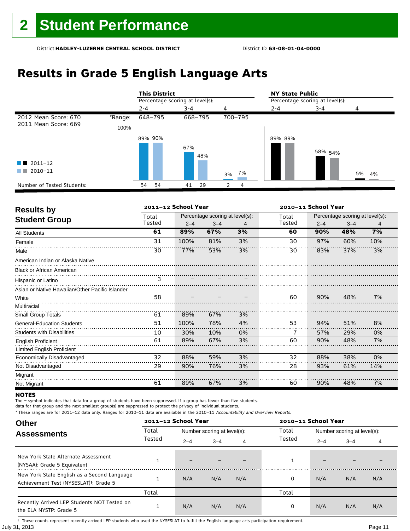## **Results in Grade 5 English Language Arts**

|                            |         |         | <b>This District</b>            |     |         |    |         | <b>NY State Public</b>          |                    |       |  |  |
|----------------------------|---------|---------|---------------------------------|-----|---------|----|---------|---------------------------------|--------------------|-------|--|--|
|                            |         |         | Percentage scoring at level(s): |     |         |    |         | Percentage scoring at level(s): |                    |       |  |  |
|                            |         | $2 - 4$ |                                 | 3-4 |         | 4  |         | $2 - 4$                         | $3 - 4$            | 4     |  |  |
| 2012 Mean Score: 670       | *Range: |         | 648-795                         |     | 668-795 |    | 700-795 |                                 |                    |       |  |  |
| 2011 Mean Score: 669       | 100%    |         |                                 |     |         |    |         |                                 |                    |       |  |  |
|                            |         |         | 89% 90%                         |     |         |    |         | 89% 89%                         |                    |       |  |  |
|                            |         |         |                                 | 67% | 48%     |    |         |                                 | 58% <sub>54%</sub> |       |  |  |
| $\blacksquare$ 2011-12     |         |         |                                 |     |         |    |         |                                 |                    |       |  |  |
| 2010-11<br>a sa T          |         |         |                                 |     |         | 3% | 7%      |                                 |                    | 5% 4% |  |  |
| Number of Tested Students: |         | 54      | 54                              | 41  | 29      | 2  | 4       |                                 |                    |       |  |  |

| <b>Results by</b>                               |        | 2011-12 School Year |                                 |    | 2010-11 School Year |                                 |         |     |  |
|-------------------------------------------------|--------|---------------------|---------------------------------|----|---------------------|---------------------------------|---------|-----|--|
| <b>Student Group</b>                            | Total  |                     | Percentage scoring at level(s): |    | Total               | Percentage scoring at level(s): |         |     |  |
|                                                 | Tested | $2 - 4$             | $3 - 4$                         | 4  | Tested              | $2 - 4$                         | $3 - 4$ | 4   |  |
| <b>All Students</b>                             | 61     | 89%                 | 67%                             | 3% | 60                  | 90%                             | 48%     | 7%  |  |
| Female                                          | 31     | 100%                | 81%                             | 3% | 30                  | 97%                             | 60%     | 10% |  |
| Male                                            | 30     | 77%                 | 53%                             | 3% | 30                  | 83%                             | 37%     | 3%  |  |
| American Indian or Alaska Native                |        |                     |                                 |    |                     |                                 |         |     |  |
| <b>Black or African American</b>                |        |                     |                                 |    |                     |                                 |         |     |  |
| Hispanic or Latino                              | 3      |                     |                                 |    |                     |                                 |         |     |  |
| Asian or Native Hawaiian/Other Pacific Islander |        |                     |                                 |    |                     |                                 |         |     |  |
| White                                           | 58     |                     |                                 |    | 60                  | 90%                             | 48%     | 7%  |  |
| Multiracial                                     |        |                     |                                 |    |                     |                                 |         |     |  |
| <b>Small Group Totals</b>                       | 61     | 89%                 | 67%                             | 3% |                     |                                 |         |     |  |
| <b>General-Education Students</b>               | 51     | 100%                | 78%                             | 4% | 53                  | 94%                             | 51%     | 8%  |  |
| <b>Students with Disabilities</b>               | 10     | 30%                 | 10%                             | 0% | 7                   | 57%                             | 29%     | 0%  |  |
| <b>English Proficient</b>                       | 61     | 89%                 | 67%                             | 3% | 60                  | 90%                             | 48%     | 7%  |  |
| <b>Limited English Proficient</b>               |        |                     |                                 |    |                     |                                 |         |     |  |
| Economically Disadvantaged                      | 32     | 88%                 | 59%                             | 3% | 32                  | 88%                             | 38%     | 0%  |  |
| Not Disadvantaged                               | 29     | 90%                 | 76%                             | 3% | 28                  | 93%                             | 61%     | 14% |  |
| Migrant                                         |        |                     |                                 |    |                     |                                 |         |     |  |
| Not Migrant                                     | 61     | 89%                 | 67%                             | 3% | 60                  | 90%                             | 48%     | 7%  |  |

#### **NOTES**

The – symbol indicates that data for a group of students have been suppressed. If a group has fewer than five students,

data for that group and the next smallest group(s) are suppressed to protect the privacy of individual students.

\* These ranges are for 2011–12 data only. Ranges for 2010–11 data are available in the 2010–11 Accountability and Overview Reports.

| <b>Other</b>                                                                                      |        | 2011-12 School Year |                             |     | 2010-11 School Year |                             |         |     |
|---------------------------------------------------------------------------------------------------|--------|---------------------|-----------------------------|-----|---------------------|-----------------------------|---------|-----|
| <b>Assessments</b>                                                                                | Total  |                     | Number scoring at level(s): |     | Total               | Number scoring at level(s): |         |     |
|                                                                                                   | Tested | $2 - 4$             | $3 - 4$                     | 4   | Tested              | $2 - 4$                     | $3 - 4$ | 4   |
| New York State Alternate Assessment<br>(NYSAA): Grade 5 Equivalent                                |        | -                   |                             |     |                     | -                           |         |     |
| New York State English as a Second Language<br>Achievement Test (NYSESLAT) <sup>+</sup> : Grade 5 |        | N/A                 | N/A                         | N/A | 0                   | N/A                         | N/A     | N/A |
|                                                                                                   | Total  |                     |                             |     | Total               |                             |         |     |
| Recently Arrived LEP Students NOT Tested on<br>the ELA NYSTP: Grade 5                             |        | N/A                 | N/A                         | N/A | 0                   | N/A                         | N/A     | N/A |

July 31, 2013 Page 11 † These counts represent recently arrived LEP students who used the NYSESLAT to fulfill the English language arts participation requirement.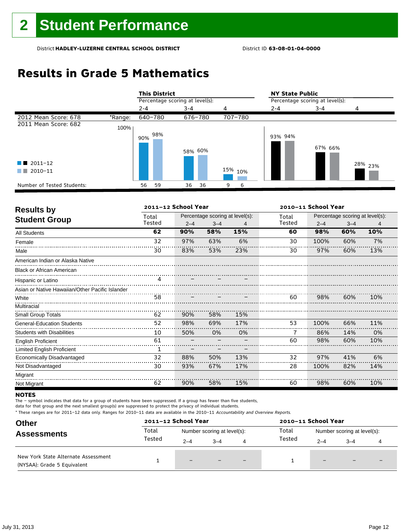## **Results in Grade 5 Mathematics**

|                            |         | <b>This District</b> |                                 |         |    |         |   | <b>NY State Public</b> |                                 |                    |  |  |
|----------------------------|---------|----------------------|---------------------------------|---------|----|---------|---|------------------------|---------------------------------|--------------------|--|--|
|                            |         |                      | Percentage scoring at level(s): |         |    |         |   |                        | Percentage scoring at level(s): |                    |  |  |
|                            |         | $2 - 4$              |                                 | $3 - 4$ |    | 4       |   | $2 - 4$                | $3 - 4$                         | 4                  |  |  |
| 2012 Mean Score: 678       | *Range: | 640-780              |                                 | 676-780 |    | 707-780 |   |                        |                                 |                    |  |  |
| 2011 Mean Score: 682       | 100%    |                      |                                 |         |    |         |   |                        |                                 |                    |  |  |
|                            |         | 98%<br>90%           |                                 | 58% 60% |    |         |   | 93% 94%                | 67% 66%                         |                    |  |  |
| $\blacksquare$ 2011-12     |         |                      |                                 |         |    |         |   |                        |                                 | <sup>28%</sup> 23% |  |  |
| 2010-11<br>a sa T          |         |                      |                                 |         |    | 15% 10% |   |                        |                                 |                    |  |  |
| Number of Tested Students: |         | 56<br>59             |                                 | 36      | 36 | 9       | 6 |                        |                                 |                    |  |  |

| <b>Results by</b>                               |        | 2011-12 School Year |         |                                 | 2010-11 School Year |                                 |         |     |  |
|-------------------------------------------------|--------|---------------------|---------|---------------------------------|---------------------|---------------------------------|---------|-----|--|
| <b>Student Group</b>                            | Total  |                     |         | Percentage scoring at level(s): | Total               | Percentage scoring at level(s): |         |     |  |
|                                                 | Tested | $2 - 4$             | $3 - 4$ | 4                               | Tested              | $2 - 4$                         | $3 - 4$ | 4   |  |
| <b>All Students</b>                             | 62     | 90%                 | 58%     | 15%                             | 60                  | 98%                             | 60%     | 10% |  |
| Female                                          | 32     | 97%                 | 63%     | 6%                              | 30                  | 100%                            | 60%     | 7%  |  |
| Male                                            | 30     | 83%                 | 53%     | 23%                             | 30                  | 97%                             | 60%     | 13% |  |
| American Indian or Alaska Native                |        |                     |         |                                 |                     |                                 |         |     |  |
| <b>Black or African American</b>                |        |                     |         |                                 |                     |                                 |         |     |  |
| Hispanic or Latino                              | 4      |                     |         |                                 |                     |                                 |         |     |  |
| Asian or Native Hawaiian/Other Pacific Islander |        |                     |         |                                 |                     |                                 |         |     |  |
| White                                           |        | $\frac{1}{58}$      |         |                                 | 60                  | 98%                             | 60%     | 10% |  |
| Multiracial                                     |        |                     |         |                                 |                     |                                 |         |     |  |
| <b>Small Group Totals</b>                       | 62     | 90%                 | 58%     | 15%                             |                     |                                 |         |     |  |
| <b>General-Education Students</b>               | 52     | 98%                 | 69%     | 17%                             | 53                  | 100%                            | 66%     | 11% |  |
| <b>Students with Disabilities</b>               | 10     | 50%                 | 0%      | 0%                              |                     | 86%                             | 14%     | 0%  |  |
| <b>English Proficient</b>                       | 61     |                     |         |                                 | 60                  | 98%                             | 60%     | 10% |  |
| <b>Limited English Proficient</b>               |        |                     |         |                                 |                     |                                 |         |     |  |
| Economically Disadvantaged                      | 32     | 88%                 | 50%     | 13%                             | 32                  | 97%                             | 41%     | 6%  |  |
| Not Disadvantaged                               | 30     | 93%                 | 67%     | 17%                             | 28                  | 100%                            | 82%     | 14% |  |
| Migrant                                         |        |                     |         |                                 |                     |                                 |         |     |  |
| Not Migrant                                     | 62     | 90%                 | 58%     | 15%                             | 60                  | 98%                             | 60%     | 10% |  |

#### **NOTES**

The – symbol indicates that data for a group of students have been suppressed. If a group has fewer than five students,

data for that group and the next smallest group(s) are suppressed to protect the privacy of individual students.

| <b>Other</b>                                                       |        | 2011-12 School Year         |         |                          | 2010-11 School Year |                             |      |  |
|--------------------------------------------------------------------|--------|-----------------------------|---------|--------------------------|---------------------|-----------------------------|------|--|
| <b>Assessments</b>                                                 | Total  | Number scoring at level(s): |         |                          | Total               | Number scoring at level(s): |      |  |
|                                                                    | Tested | $2 - 4$                     | $3 - 4$ | 4                        | Tested              | $2 - 4$                     | $-4$ |  |
| New York State Alternate Assessment<br>(NYSAA): Grade 5 Equivalent |        | $-$                         |         | $\overline{\phantom{0}}$ |                     | $\qquad \qquad -$           | $-$  |  |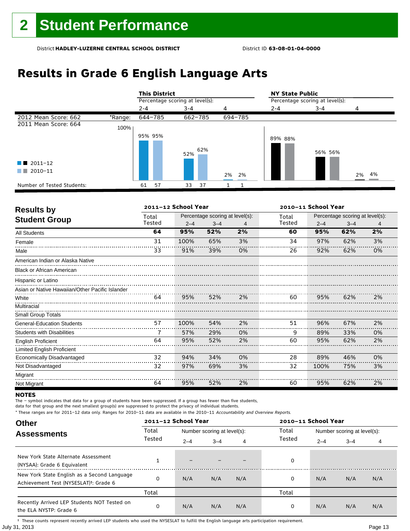## **Results in Grade 6 English Language Arts**

|                            |         | <b>This District</b> |                                 |         | <b>NY State Public</b>          |          |  |  |
|----------------------------|---------|----------------------|---------------------------------|---------|---------------------------------|----------|--|--|
|                            |         |                      | Percentage scoring at level(s): |         | Percentage scoring at level(s): |          |  |  |
|                            |         | $2 - 4$              | 3-4                             | 4       | $2 - 4$<br>$3 - 4$              | 4        |  |  |
| 2012 Mean Score: 662       | *Range: | 644-785              | 662-785                         | 694-785 |                                 |          |  |  |
| 2011 Mean Score: 664       | 100%    |                      |                                 |         |                                 |          |  |  |
|                            |         | 95% 95%              |                                 |         | 89% 88%                         |          |  |  |
|                            |         |                      | 62%<br>52%                      |         |                                 | 56% 56%  |  |  |
| $\blacksquare$ 2011-12     |         |                      |                                 |         |                                 |          |  |  |
| 2010-11<br>a sa T          |         |                      |                                 | 2% 2%   |                                 | 4%<br>2% |  |  |
| Number of Tested Students: |         | 57<br>61             | 37<br>33                        | 1       |                                 |          |  |  |

| <b>Results by</b>                               |        | 2011-12 School Year |                                 |    | 2010-11 School Year |                                 |         |    |
|-------------------------------------------------|--------|---------------------|---------------------------------|----|---------------------|---------------------------------|---------|----|
| <b>Student Group</b>                            | Total  |                     | Percentage scoring at level(s): |    | Total               | Percentage scoring at level(s): |         |    |
|                                                 | Tested | $2 - 4$             | $3 - 4$                         | 4  | Tested              | $2 - 4$                         | $3 - 4$ | 4  |
| <b>All Students</b>                             | 64     | 95%                 | 52%                             | 2% | 60                  | 95%                             | 62%     | 2% |
| Female                                          | 31     | 100%                | 65%                             | 3% | 34                  | 97%                             | 62%     | 3% |
| Male                                            | 33     | 91%                 | 39%                             | 0% | 26                  | 92%                             | 62%     | 0% |
| American Indian or Alaska Native                |        |                     |                                 |    |                     |                                 |         |    |
| <b>Black or African American</b>                |        |                     |                                 |    |                     |                                 |         |    |
| Hispanic or Latino                              |        |                     |                                 |    |                     |                                 |         |    |
| Asian or Native Hawaiian/Other Pacific Islander |        |                     |                                 |    |                     |                                 |         |    |
| White                                           | 64     | 95%                 | 52%                             | 2% | 60                  | 95%                             | 62%     | 2% |
| Multiracial                                     |        |                     |                                 |    |                     |                                 |         |    |
| <b>Small Group Totals</b>                       |        |                     |                                 |    |                     |                                 |         |    |
| <b>General-Education Students</b>               | 57     | 100%                | 54%                             | 2% | 51                  | 96%                             | 67%     | 2% |
| <b>Students with Disabilities</b>               |        | 57%                 | 29%                             | 0% | 9                   | 89%                             | 33%     | 0% |
| <b>English Proficient</b>                       | 64     | 95%                 | 52%                             | 2% | 60                  | 95%                             | 62%     | 2% |
| <b>Limited English Proficient</b>               |        |                     |                                 |    |                     |                                 |         |    |
| Economically Disadvantaged                      | 32     | 94%                 | 34%                             | 0% | 28                  | 89%                             | 46%     | 0% |
| Not Disadvantaged                               | 32     | 97%                 | 69%                             | 3% | 32                  | 100%                            | 75%     | 3% |
| Migrant                                         |        |                     |                                 |    |                     |                                 |         |    |
| Not Migrant                                     | 64     | 95%                 | 52%                             | 2% | 60                  | 95%                             | 62%     | 2% |

#### **NOTES**

The – symbol indicates that data for a group of students have been suppressed. If a group has fewer than five students,

data for that group and the next smallest group(s) are suppressed to protect the privacy of individual students.

\* These ranges are for 2011–12 data only. Ranges for 2010–11 data are available in the 2010–11 Accountability and Overview Reports.

| <b>Other</b>                                                                                      |        | 2011-12 School Year |                             |     | 2010-11 School Year |                             |         |     |  |
|---------------------------------------------------------------------------------------------------|--------|---------------------|-----------------------------|-----|---------------------|-----------------------------|---------|-----|--|
| <b>Assessments</b>                                                                                | Total  |                     | Number scoring at level(s): |     | Total               | Number scoring at level(s): |         |     |  |
|                                                                                                   | Tested | $2 - 4$             | $3 - 4$                     | 4   | Tested              | $2 - 4$                     | $3 - 4$ | 4   |  |
| New York State Alternate Assessment<br>(NYSAA): Grade 6 Equivalent                                |        | -                   |                             |     | 0                   |                             |         |     |  |
| New York State English as a Second Language<br>Achievement Test (NYSESLAT) <sup>†</sup> : Grade 6 | O      | N/A                 | N/A                         | N/A | 0                   | N/A                         | N/A     | N/A |  |
|                                                                                                   | Total  |                     |                             |     | Total               |                             |         |     |  |
| Recently Arrived LEP Students NOT Tested on<br>the ELA NYSTP: Grade 6                             | 0      | N/A                 | N/A                         | N/A | 0                   | N/A                         | N/A     | N/A |  |

July 31, 2013 Page 13 † These counts represent recently arrived LEP students who used the NYSESLAT to fulfill the English language arts participation requirement.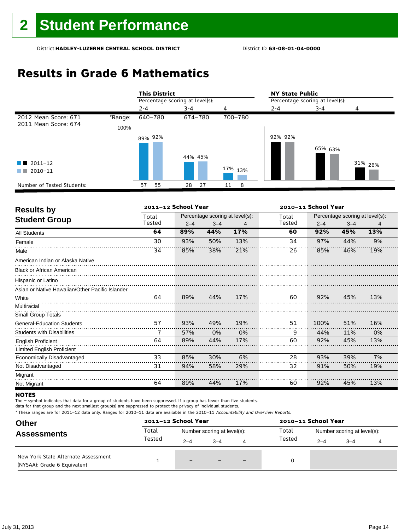## **Results in Grade 6 Mathematics**

|                            |         | <b>This District</b>            |          |                    | <b>NY State Public</b> |                                 |                    |  |  |
|----------------------------|---------|---------------------------------|----------|--------------------|------------------------|---------------------------------|--------------------|--|--|
|                            |         | Percentage scoring at level(s): |          |                    |                        | Percentage scoring at level(s): |                    |  |  |
|                            |         | $2 - 4$                         | $3 - 4$  | 4                  | 2-4                    | $3 - 4$                         |                    |  |  |
| 2012 Mean Score: 671       | *Range: | 640-780                         | 674-780  | 700-780            |                        |                                 |                    |  |  |
| 2011 Mean Score: 674       | 100%    |                                 |          |                    |                        |                                 |                    |  |  |
|                            |         | 89% 92%                         |          |                    | 92% 92%                |                                 |                    |  |  |
|                            |         |                                 | 44% 45%  |                    |                        | 65% 63%                         |                    |  |  |
| $\blacksquare$ 2011-12     |         |                                 |          |                    |                        |                                 | 31% <sub>26%</sub> |  |  |
| 2010-11<br>a sa T          |         |                                 |          | 17% <sub>13%</sub> |                        |                                 |                    |  |  |
| Number of Tested Students: |         | 55<br>57                        | 27<br>28 | 8<br>11            |                        |                                 |                    |  |  |

| <b>Results by</b>                               |        | 2011-12 School Year |         |                                 | 2010-11 School Year |                                 |         |     |
|-------------------------------------------------|--------|---------------------|---------|---------------------------------|---------------------|---------------------------------|---------|-----|
|                                                 | Total  |                     |         | Percentage scoring at level(s): | Total               | Percentage scoring at level(s): |         |     |
| <b>Student Group</b>                            | Tested | $2 - 4$             | $3 - 4$ | 4                               | Tested              | $2 - 4$                         | $3 - 4$ | 4   |
| <b>All Students</b>                             | 64     | 89%                 | 44%     | 17%                             | 60                  | 92%                             | 45%     | 13% |
| Female                                          | 30     | 93%                 | 50%     | 13%                             | 34                  | 97%                             | 44%     | 9%  |
| Male                                            | 34     | 85%                 | 38%     | 21%                             | 26                  | 85%                             | 46%     | 19% |
| American Indian or Alaska Native                |        |                     |         |                                 |                     |                                 |         |     |
| <b>Black or African American</b>                |        |                     |         |                                 |                     |                                 |         |     |
| Hispanic or Latino                              |        |                     |         |                                 |                     |                                 |         |     |
| Asian or Native Hawaiian/Other Pacific Islander |        |                     |         |                                 |                     |                                 |         |     |
| White                                           | 64     | $\frac{1}{89\%}$    | 44%     | 17%                             | 60                  | 92%                             | 45%     | 13% |
| Multiracial                                     |        |                     |         |                                 |                     |                                 |         |     |
| <b>Small Group Totals</b>                       |        |                     |         |                                 |                     |                                 |         |     |
| <b>General-Education Students</b>               | 57     | 93%                 | 49%     | 19%                             | 51                  | 100%                            | 51%     | 16% |
| <b>Students with Disabilities</b>               | 7      | 57%                 | 0%      | 0%                              | 9                   | 44%                             | 11%     | 0%  |
| <b>English Proficient</b>                       | 64     | 89%                 | 44%     | 17%                             | 60                  | 92%                             | 45%     | 13% |
| <b>Limited English Proficient</b>               |        |                     |         |                                 |                     |                                 |         |     |
| Economically Disadvantaged                      | 33     | 85%                 | 30%     | 6%                              | 28                  | 93%                             | 39%     | 7%  |
| Not Disadvantaged                               | 31     | 94%                 | 58%     | 29%                             | 32                  | 91%                             | 50%     | 19% |
| Migrant                                         |        |                     |         |                                 |                     |                                 |         |     |
| Not Migrant                                     | 64     | 89%                 | 44%     | 17%                             | 60                  | 92%                             | 45%     | 13% |

#### **NOTES**

The – symbol indicates that data for a group of students have been suppressed. If a group has fewer than five students,

data for that group and the next smallest group(s) are suppressed to protect the privacy of individual students.

| <b>Other</b>                                                       |        | 2011-12 School Year |                             | 2010-11 School Year |                             |         |  |
|--------------------------------------------------------------------|--------|---------------------|-----------------------------|---------------------|-----------------------------|---------|--|
| <b>Assessments</b>                                                 | Total  |                     | Number scoring at level(s): | Total               | Number scoring at level(s): |         |  |
|                                                                    | Tested | $2 - 4$             | $3 - 4$                     | Tested              | $2 - 4$                     | $3 - 4$ |  |
| New York State Alternate Assessment<br>(NYSAA): Grade 6 Equivalent |        | $\qquad \qquad -$   |                             | 0                   |                             |         |  |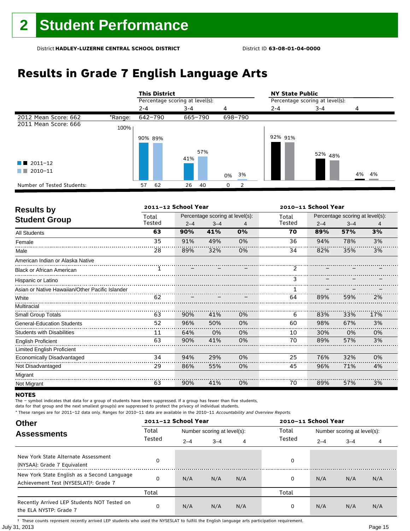## **Results in Grade 7 English Language Arts**

|                            |         |         | <b>This District</b>            |     |         |    |         | <b>NY State Public</b>          |                    |    |    |  |
|----------------------------|---------|---------|---------------------------------|-----|---------|----|---------|---------------------------------|--------------------|----|----|--|
|                            |         |         | Percentage scoring at level(s): |     |         |    |         | Percentage scoring at level(s): |                    |    |    |  |
|                            |         | $2 - 4$ |                                 | 3-4 |         | 4  |         | $2 - 4$                         | 3-4                | 4  |    |  |
| 2012 Mean Score: 662       | *Range: | 642-790 |                                 |     | 665-790 |    | 698-790 |                                 |                    |    |    |  |
| 2011 Mean Score: 666       | 100%    |         |                                 |     |         |    |         |                                 |                    |    |    |  |
|                            |         | 90% 89% |                                 | 41% | 57%     |    |         | 92% 91%                         | 52% <sub>48%</sub> |    |    |  |
| $\blacksquare$ 2011-12     |         |         |                                 |     |         |    |         |                                 |                    |    |    |  |
| 2010-11<br>. .             |         |         |                                 |     |         | 0% | 3%      |                                 |                    | 4% | 4% |  |
| Number of Tested Students: |         | 57      | 62                              | 26  | 40      | 0  | 2       |                                 |                    |    |    |  |

| <b>Results by</b>                               |        | 2011-12 School Year |                                 |    | 2010-11 School Year |                                 |         |     |
|-------------------------------------------------|--------|---------------------|---------------------------------|----|---------------------|---------------------------------|---------|-----|
| <b>Student Group</b>                            | Total  |                     | Percentage scoring at level(s): |    | Total               | Percentage scoring at level(s): |         |     |
|                                                 | Tested | $2 - 4$             | $3 - 4$                         | 4  | Tested              | $2 - 4$                         | $3 - 4$ | 4   |
| <b>All Students</b>                             | 63     | 90%                 | 41%                             | 0% | 70                  | 89%                             | 57%     | 3%  |
| Female                                          | 35     | 91%                 | 49%                             | 0% | 36                  | 94%                             | 78%     | 3%  |
| Male                                            | 28     | 89%                 | 32%                             | 0% | 34                  | 82%                             | 35%     | 3%  |
| American Indian or Alaska Native                |        |                     |                                 |    |                     |                                 |         |     |
| <b>Black or African American</b>                |        |                     |                                 |    | $\mathcal{P}$       |                                 |         |     |
| Hispanic or Latino                              |        |                     |                                 |    |                     |                                 |         |     |
| Asian or Native Hawaiian/Other Pacific Islander |        |                     |                                 |    |                     |                                 |         |     |
| White                                           |        |                     |                                 |    | 64                  | 89%                             | 59%     | 2%  |
| Multiracial                                     |        |                     |                                 |    |                     |                                 |         |     |
| <b>Small Group Totals</b>                       | 63     | 90%                 | 41%                             | 0% | 6                   | 83%                             | 33%     | 17% |
| <b>General-Education Students</b>               | 52     | 96%                 | 50%                             | 0% | 60                  | 98%                             | 67%     | 3%  |
| <b>Students with Disabilities</b>               | 11     | 64%                 | 0%                              | 0% | 10                  | 30%                             | 0%      | 0%  |
| <b>English Proficient</b>                       | 63     | 90%                 | 41%                             | 0% | 70                  | 89%                             | 57%     | 3%  |
| <b>Limited English Proficient</b>               |        |                     |                                 |    |                     |                                 |         |     |
| Economically Disadvantaged                      | 34     | 94%                 | 29%                             | 0% | 25                  | 76%                             | 32%     | 0%  |
| Not Disadvantaged                               | 29     | 86%                 | 55%                             | 0% | 45                  | 96%                             | 71%     | 4%  |
| Migrant                                         |        |                     |                                 |    |                     |                                 |         |     |
| Not Migrant                                     | 63     | 90%                 | 41%                             | 0% | 70                  | 89%                             | 57%     | 3%  |

#### **NOTES**

The – symbol indicates that data for a group of students have been suppressed. If a group has fewer than five students,

data for that group and the next smallest group(s) are suppressed to protect the privacy of individual students.

\* These ranges are for 2011–12 data only. Ranges for 2010–11 data are available in the 2010–11 Accountability and Overview Reports.

| <b>Other</b>                                                                                      |        | 2011-12 School Year |                             |     | 2010-11 School Year |                             |         |     |  |
|---------------------------------------------------------------------------------------------------|--------|---------------------|-----------------------------|-----|---------------------|-----------------------------|---------|-----|--|
| <b>Assessments</b>                                                                                | Total  |                     | Number scoring at level(s): |     | Total               | Number scoring at level(s): |         |     |  |
|                                                                                                   | Tested | $2 - 4$             | $3 - 4$                     | 4   | Tested              | $2 - 4$                     | $3 - 4$ | 4   |  |
| New York State Alternate Assessment<br>(NYSAA): Grade 7 Equivalent                                |        |                     |                             |     | 0                   |                             |         |     |  |
| New York State English as a Second Language<br>Achievement Test (NYSESLAT) <sup>+</sup> : Grade 7 |        | N/A                 | N/A                         | N/A | 0                   | N/A                         | N/A     | N/A |  |
|                                                                                                   | Total  |                     |                             |     | Total               |                             |         |     |  |
| Recently Arrived LEP Students NOT Tested on<br>the ELA NYSTP: Grade 7                             | 0      | N/A                 | N/A                         | N/A | 0                   | N/A                         | N/A     | N/A |  |

July 31, 2013 Page 15 † These counts represent recently arrived LEP students who used the NYSESLAT to fulfill the English language arts participation requirement.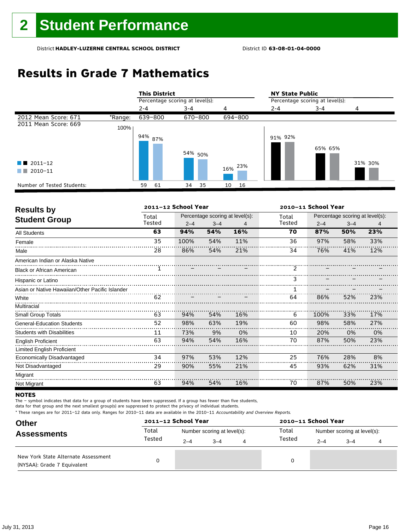## **Results in Grade 7 Mathematics**

|                            |         | <b>This District</b>            |                    |          | <b>NY State Public</b>          |         |         |  |  |  |
|----------------------------|---------|---------------------------------|--------------------|----------|---------------------------------|---------|---------|--|--|--|
|                            |         | Percentage scoring at level(s): |                    |          | Percentage scoring at level(s): |         |         |  |  |  |
|                            |         | $2 - 4$                         | $3 - 4$            | 4        | $2 - 4$                         | $3 - 4$ |         |  |  |  |
| 2012 Mean Score: 671       | *Range: | 639-800                         | 670-800            | 694-800  |                                 |         |         |  |  |  |
| 2011 Mean Score: 669       | 100%    |                                 |                    |          |                                 |         |         |  |  |  |
|                            |         | $94\%$ 87%                      | 54% <sub>50%</sub> |          | 91% 92%                         | 65% 65% |         |  |  |  |
| $\blacksquare$ 2011-12     |         |                                 |                    | 23%      |                                 |         | 31% 30% |  |  |  |
| 2010-11<br>a sa T          |         |                                 |                    | 16%      |                                 |         |         |  |  |  |
| Number of Tested Students: |         | 61<br>59                        | 35<br>34           | 16<br>10 |                                 |         |         |  |  |  |

| <b>Results by</b>                               |        | 2011-12 School Year |         |                                 | 2010-11 School Year |                                 |         |     |  |
|-------------------------------------------------|--------|---------------------|---------|---------------------------------|---------------------|---------------------------------|---------|-----|--|
| <b>Student Group</b>                            | Total  |                     |         | Percentage scoring at level(s): | Total               | Percentage scoring at level(s): |         |     |  |
|                                                 | Tested | $2 - 4$             | $3 - 4$ | 4                               | Tested              | $2 - 4$                         | $3 - 4$ | 4   |  |
| <b>All Students</b>                             | 63     | 94%                 | 54%     | 16%                             | 70                  | 87%                             | 50%     | 23% |  |
| Female                                          | 35     | 100%                | 54%     | 11%                             | 36                  | 97%                             | 58%     | 33% |  |
| Male                                            | 28     | 86%                 | 54%     | 21%                             | 34                  | 76%                             | 41%     | 12% |  |
| American Indian or Alaska Native                |        |                     |         |                                 |                     |                                 |         |     |  |
| <b>Black or African American</b>                |        |                     |         |                                 | $\mathcal{P}$       |                                 |         |     |  |
| Hispanic or Latino                              |        |                     |         |                                 | 3                   |                                 |         |     |  |
| Asian or Native Hawaiian/Other Pacific Islander |        |                     |         |                                 |                     |                                 |         |     |  |
| White                                           | 62     |                     |         |                                 | 64                  | 86%                             | 52%     | 23% |  |
| Multiracial                                     |        |                     |         |                                 |                     |                                 |         |     |  |
| <b>Small Group Totals</b>                       | 63     | 94%                 | 54%     | 16%                             | 6                   | 100%                            | 33%     | 17% |  |
| <b>General-Education Students</b>               | 52     | 98%                 | 63%     | 19%                             | 60                  | 98%                             | 58%     | 27% |  |
| <b>Students with Disabilities</b>               | 11     | 73%                 | 9%      | 0%                              | 10                  | 20%                             | 0%      | 0%  |  |
| <b>English Proficient</b>                       | 63     | 94%                 | 54%     | 16%                             | 70                  | 87%                             | 50%     | 23% |  |
| <b>Limited English Proficient</b>               |        |                     |         |                                 |                     |                                 |         |     |  |
| <b>Economically Disadvantaged</b>               | 34     | 97%                 | 53%     | 12%                             | 25                  | 76%                             | 28%     | 8%  |  |
| Not Disadvantaged                               | 29     | 90%                 | 55%     | 21%                             | 45                  | 93%                             | 62%     | 31% |  |
| Migrant                                         |        |                     |         |                                 |                     |                                 |         |     |  |
| Not Migrant                                     | 63     | 94%                 | 54%     | 16%                             | 70                  | 87%                             | 50%     | 23% |  |

#### **NOTES**

The – symbol indicates that data for a group of students have been suppressed. If a group has fewer than five students,

data for that group and the next smallest group(s) are suppressed to protect the privacy of individual students.

| <b>Other</b>                                                       |        | 2011-12 School Year         |         |   | 2010-11 School Year |                             |         |  |  |
|--------------------------------------------------------------------|--------|-----------------------------|---------|---|---------------------|-----------------------------|---------|--|--|
| <b>Assessments</b>                                                 | Total  | Number scoring at level(s): |         |   | Total               | Number scoring at level(s): |         |  |  |
|                                                                    | Tested | $2 - 4$                     | $3 - 4$ | 4 | Tested              | $2 - 4$                     | $3 - 4$ |  |  |
| New York State Alternate Assessment<br>(NYSAA): Grade 7 Equivalent |        |                             |         |   | 0                   |                             |         |  |  |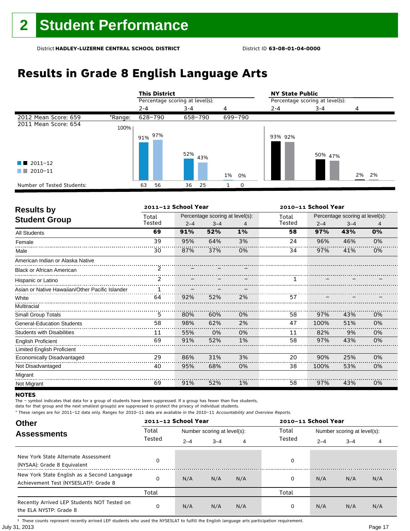## **Results in Grade 8 English Language Arts**

|                            |         | <b>This District</b>            |  |         |     |  |          | <b>NY State Public</b><br>Percentage scoring at level(s): |         |       |  |  |
|----------------------------|---------|---------------------------------|--|---------|-----|--|----------|-----------------------------------------------------------|---------|-------|--|--|
|                            |         | Percentage scoring at level(s): |  |         |     |  |          |                                                           |         |       |  |  |
|                            |         | $2 - 4$                         |  | $3 - 4$ |     |  |          | $2 - 4$                                                   | $3 - 4$ | 4     |  |  |
| 2012 Mean Score: 659       | *Range: | 628-790                         |  | 658-790 |     |  | 699-790  |                                                           |         |       |  |  |
| 2011 Mean Score: 654       | 100%    |                                 |  |         |     |  |          |                                                           |         |       |  |  |
|                            |         | $91\%$ 97%                      |  |         |     |  |          | 93% 92%                                                   |         |       |  |  |
|                            |         |                                 |  | 52%     | 43% |  |          |                                                           | 50% 47% |       |  |  |
| $\blacksquare$ 2011-12     |         |                                 |  |         |     |  |          |                                                           |         |       |  |  |
| 2010-11<br>a ka            |         |                                 |  |         |     |  | 1% 0%    |                                                           |         | 2% 2% |  |  |
| Number of Tested Students: |         | 56<br>63                        |  | 36      | 25  |  | $\Omega$ |                                                           |         |       |  |  |

| <b>Results by</b>                               |        | 2011-12 School Year |                                 |    | 2010-11 School Year |                                 |         |    |  |
|-------------------------------------------------|--------|---------------------|---------------------------------|----|---------------------|---------------------------------|---------|----|--|
| <b>Student Group</b>                            | Total  |                     | Percentage scoring at level(s): |    | Total               | Percentage scoring at level(s): |         |    |  |
|                                                 | Tested | $2 - 4$             | $3 - 4$                         | 4  | Tested              | $2 - 4$                         | $3 - 4$ | 4  |  |
| <b>All Students</b>                             | 69     | 91%                 | 52%                             | 1% | 58                  | 97%                             | 43%     | 0% |  |
| Female                                          | 39     | 95%                 | 64%                             | 3% | 24                  | 96%                             | 46%     | 0% |  |
| Male                                            | 30     | 87%                 | 37%                             | 0% | 34                  | 97%                             | 41%     | 0% |  |
| American Indian or Alaska Native                |        |                     |                                 |    |                     |                                 |         |    |  |
| <b>Black or African American</b>                | 2      |                     |                                 |    |                     |                                 |         |    |  |
| Hispanic or Latino                              | 2      |                     |                                 |    |                     |                                 |         |    |  |
| Asian or Native Hawaiian/Other Pacific Islander |        |                     |                                 |    |                     |                                 |         |    |  |
| White                                           | 64     | 92%                 | 52%                             | 2% | 57                  |                                 |         |    |  |
| Multiracial                                     |        |                     |                                 |    |                     |                                 |         |    |  |
| <b>Small Group Totals</b>                       | 5      | 80%                 | 60%                             | 0% | 58                  | 97%                             | 43%     | 0% |  |
| <b>General-Education Students</b>               | 58     | 98%                 | 62%                             | 2% | 47                  | 100%                            | 51%     | 0% |  |
| <b>Students with Disabilities</b>               | 11     | 55%                 | 0%                              | 0% | 11                  | 82%                             | 9%      | 0% |  |
| <b>English Proficient</b>                       | 69     | 91%                 | 52%                             | 1% | 58                  | 97%                             | 43%     | 0% |  |
| Limited English Proficient                      |        |                     |                                 |    |                     |                                 |         |    |  |
| Economically Disadvantaged                      | 29     | 86%                 | 31%                             | 3% | 20                  | 90%                             | 25%     | 0% |  |
| Not Disadvantaged                               | 40     | 95%                 | 68%                             | 0% | 38                  | 100%                            | 53%     | 0% |  |
| Migrant                                         |        |                     |                                 |    |                     |                                 |         |    |  |
| Not Migrant                                     | 69     | 91%                 | 52%                             | 1% | 58                  | 97%                             | 43%     | 0% |  |

#### **NOTES**

The – symbol indicates that data for a group of students have been suppressed. If a group has fewer than five students,

data for that group and the next smallest group(s) are suppressed to protect the privacy of individual students.

\* These ranges are for 2011–12 data only. Ranges for 2010–11 data are available in the 2010–11 Accountability and Overview Reports.

| <b>Other</b>                                                                                      |        | 2011-12 School Year |                             |     | 2010-11 School Year |                             |         |     |  |
|---------------------------------------------------------------------------------------------------|--------|---------------------|-----------------------------|-----|---------------------|-----------------------------|---------|-----|--|
| <b>Assessments</b>                                                                                | Total  |                     | Number scoring at level(s): |     | Total               | Number scoring at level(s): |         |     |  |
|                                                                                                   | Tested | $2 - 4$             | $3 - 4$                     | 4   | Tested              | $2 - 4$                     | $3 - 4$ | 4   |  |
| New York State Alternate Assessment<br>(NYSAA): Grade 8 Equivalent                                |        |                     |                             |     | 0                   |                             |         |     |  |
| New York State English as a Second Language<br>Achievement Test (NYSESLAT) <sup>+</sup> : Grade 8 | 0      | N/A                 | N/A                         | N/A | 0                   | N/A                         | N/A     | N/A |  |
|                                                                                                   | Total  |                     |                             |     | Total               |                             |         |     |  |
| Recently Arrived LEP Students NOT Tested on<br>the ELA NYSTP: Grade 8                             | 0      | N/A                 | N/A                         | N/A | $\Omega$            | N/A                         | N/A     | N/A |  |

July 31, 2013 Page 17 † These counts represent recently arrived LEP students who used the NYSESLAT to fulfill the English language arts participation requirement.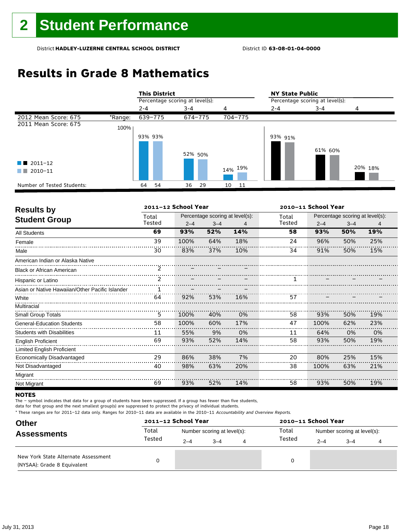## **Results in Grade 8 Mathematics**

|                            |         | <b>This District</b>            |    |         |    |         |                                 | <b>NY State Public</b> |         |         |  |  |
|----------------------------|---------|---------------------------------|----|---------|----|---------|---------------------------------|------------------------|---------|---------|--|--|
|                            |         | Percentage scoring at level(s): |    |         |    |         | Percentage scoring at level(s): |                        |         |         |  |  |
|                            |         | $2 - 4$                         |    | $3 - 4$ |    | 4       |                                 | $2 - 4$                | $3 - 4$ | 4       |  |  |
| 2012 Mean Score: 675       | *Range: | 639-775                         |    | 674-775 |    | 704-775 |                                 |                        |         |         |  |  |
| 2011 Mean Score: 675       | 100%    |                                 |    |         |    |         |                                 |                        |         |         |  |  |
|                            |         | 93% 93%                         |    |         |    |         |                                 | 93% 91%                |         |         |  |  |
|                            |         |                                 |    | 52% 50% |    |         |                                 |                        | 61% 60% |         |  |  |
| $\blacksquare$ 2011-12     |         |                                 |    |         |    |         |                                 |                        |         |         |  |  |
| 2010-11<br>a sa T          |         |                                 |    |         |    | 14% 19% |                                 |                        |         | 20% 18% |  |  |
| Number of Tested Students: |         | 64                              | 54 | 36      | 29 | 10      | 11                              |                        |         |         |  |  |

| <b>Results by</b>                               |               | 2011-12 School Year             |         |     | 2010-11 School Year |                                 |         |     |  |
|-------------------------------------------------|---------------|---------------------------------|---------|-----|---------------------|---------------------------------|---------|-----|--|
| <b>Student Group</b>                            | Total         | Percentage scoring at level(s): |         |     | Total               | Percentage scoring at level(s): |         |     |  |
|                                                 | Tested        | $2 - 4$                         | $3 - 4$ | 4   | Tested              | $2 - 4$                         | $3 - 4$ | 4   |  |
| <b>All Students</b>                             | 69            | 93%                             | 52%     | 14% | 58                  | 93%                             | 50%     | 19% |  |
| Female                                          | 39            | 100%                            | 64%     | 18% | 24                  | 96%                             | 50%     | 25% |  |
| Male                                            | 30            | 83%                             | 37%     | 10% | 34                  | 91%                             | 50%     | 15% |  |
| American Indian or Alaska Native                |               |                                 |         |     |                     |                                 |         |     |  |
| <b>Black or African American</b>                | 2             |                                 |         |     |                     |                                 |         |     |  |
| Hispanic or Latino                              | $\mathcal{P}$ |                                 |         |     |                     |                                 |         |     |  |
| Asian or Native Hawaiian/Other Pacific Islander |               |                                 |         |     |                     |                                 |         |     |  |
| White                                           | 64            | 92%                             | 53%     | 16% |                     | $\frac{1}{57}$                  |         |     |  |
| Multiracial                                     |               |                                 |         |     |                     |                                 |         |     |  |
| <b>Small Group Totals</b>                       | 5             | 100%                            | 40%     | 0%  | 58                  | 93%                             | 50%     | 19% |  |
| <b>General-Education Students</b>               | 58            | 100%                            | 60%     | 17% | 47                  | 100%                            | 62%     | 23% |  |
| <b>Students with Disabilities</b>               | 11            | 55%                             | 9%      | 0%  | 11                  | 64%                             | 0%      | 0%  |  |
| <b>English Proficient</b>                       | 69            | 93%                             | 52%     | 14% | 58                  | 93%                             | 50%     | 19% |  |
| Limited English Proficient                      |               |                                 |         |     |                     |                                 |         |     |  |
| Economically Disadvantaged                      | 29            | 86%                             | 38%     | 7%  | 20                  | 80%                             | 25%     | 15% |  |
| Not Disadvantaged                               | 40            | 98%                             | 63%     | 20% | 38                  | 100%                            | 63%     | 21% |  |
| Migrant                                         |               |                                 |         |     |                     |                                 |         |     |  |
| Not Migrant                                     | 69            | 93%                             | 52%     | 14% | 58                  | 93%                             | 50%     | 19% |  |

#### **NOTES**

The – symbol indicates that data for a group of students have been suppressed. If a group has fewer than five students,

data for that group and the next smallest group(s) are suppressed to protect the privacy of individual students.

| <b>Other</b>                                                       |        | 2011-12 School Year         |         |   | 2010-11 School Year |                             |         |  |  |
|--------------------------------------------------------------------|--------|-----------------------------|---------|---|---------------------|-----------------------------|---------|--|--|
| <b>Assessments</b>                                                 | Total  | Number scoring at level(s): |         |   | Total               | Number scoring at level(s): |         |  |  |
|                                                                    | Tested | $2 - 4$                     | $3 - 4$ | 4 | Tested              | $2 - 4$                     | $3 - 4$ |  |  |
| New York State Alternate Assessment<br>(NYSAA): Grade 8 Equivalent |        |                             |         |   | 0                   |                             |         |  |  |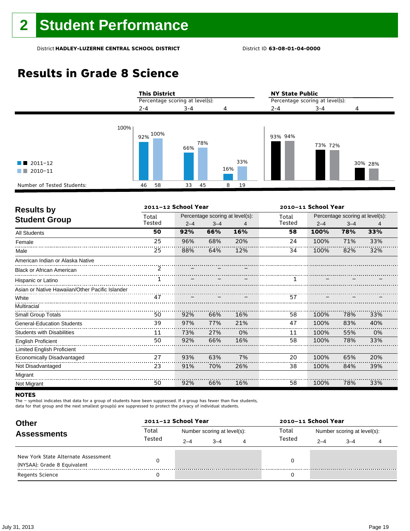## **Results in Grade 8 Science**

|                                           | <b>This District</b><br>Percentage scoring at level(s): |            |            | <b>NY State Public</b><br>Percentage scoring at level(s): |         |  |  |
|-------------------------------------------|---------------------------------------------------------|------------|------------|-----------------------------------------------------------|---------|--|--|
|                                           | $2 - 4$                                                 | $3 - 4$    | 4          | $2 - 4$<br>$3 - 4$                                        | 4       |  |  |
| 100%<br>$\blacksquare$ 2011-12<br>2010-11 | $92\% \frac{100\%}{100\%}$                              | 78%<br>66% | 33%<br>16% | 93% 94%<br>73% 72%                                        | 30% 28% |  |  |
| Number of Tested Students:                | 46<br>58                                                | 45<br>33   | 19<br>8    |                                                           |         |  |  |

| <b>Results by</b>                               |        | 2011-12 School Year |         |                                 | 2010-11 School Year |                                 |         |     |  |
|-------------------------------------------------|--------|---------------------|---------|---------------------------------|---------------------|---------------------------------|---------|-----|--|
|                                                 | Total  |                     |         | Percentage scoring at level(s): | Total               | Percentage scoring at level(s): |         |     |  |
| <b>Student Group</b>                            | Tested | $2 - 4$             | $3 - 4$ | 4                               | Tested              | $2 - 4$                         | $3 - 4$ | 4   |  |
| <b>All Students</b>                             | 50     | 92%                 | 66%     | 16%                             | 58                  | 100%                            | 78%     | 33% |  |
| Female                                          | 25     | 96%                 | 68%     | 20%                             | 24                  | 100%                            | 71%     | 33% |  |
| Male                                            | 25     | 88%                 | 64%     | 12%                             | 34                  | 100%                            | 82%     | 32% |  |
| American Indian or Alaska Native                |        |                     |         |                                 |                     |                                 |         |     |  |
| <b>Black or African American</b>                | 2      |                     |         |                                 |                     |                                 |         |     |  |
| Hispanic or Latino                              |        |                     |         |                                 |                     |                                 |         |     |  |
| Asian or Native Hawaiian/Other Pacific Islander |        |                     |         |                                 |                     |                                 |         |     |  |
| White                                           |        | 47                  |         |                                 | $\frac{1}{57}$      |                                 |         |     |  |
| Multiracial                                     |        |                     |         |                                 |                     |                                 |         |     |  |
| <b>Small Group Totals</b>                       | 50     | 92%                 | 66%     | 16%                             | 58                  | 100%                            | 78%     | 33% |  |
| <b>General-Education Students</b>               | 39     | 97%                 | 77%     | 21%                             | 47                  | 100%                            | 83%     | 40% |  |
| <b>Students with Disabilities</b>               | 11     | 73%                 | 27%     | 0%                              | 11                  | 100%                            | 55%     | 0%  |  |
| <b>English Proficient</b>                       | 50     | 92%                 | 66%     | 16%                             | 58                  | 100%                            | 78%     | 33% |  |
| Limited English Proficient                      |        |                     |         |                                 |                     |                                 |         |     |  |
| Economically Disadvantaged                      | 27     | 93%                 | 63%     | 7%                              | 20                  | 100%                            | 65%     | 20% |  |
| Not Disadvantaged                               | 23     | 91%                 | 70%     | 26%                             | 38                  | 100%                            | 84%     | 39% |  |
| Migrant                                         |        |                     |         |                                 |                     |                                 |         |     |  |
| Not Migrant                                     | 50     | 92%                 | 66%     | 16%                             | 58                  | 100%                            | 78%     | 33% |  |

#### **NOTES**

The – symbol indicates that data for a group of students have been suppressed. If a group has fewer than five students,

data for that group and the next smallest group(s) are suppressed to protect the privacy of individual students.

| <b>Other</b>                                                       |        | 2011-12 School Year |                             |   | 2010-11 School Year |                             |         |  |  |  |
|--------------------------------------------------------------------|--------|---------------------|-----------------------------|---|---------------------|-----------------------------|---------|--|--|--|
| <b>Assessments</b>                                                 | Total  |                     | Number scoring at level(s): |   | Total               | Number scoring at level(s): |         |  |  |  |
|                                                                    | Tested | $2 - 4$             | $3 - 4$                     | 4 | Tested              | $2 - 4$                     | $3 - 4$ |  |  |  |
| New York State Alternate Assessment<br>(NYSAA): Grade 8 Equivalent |        |                     |                             |   |                     |                             |         |  |  |  |
| Regents Science                                                    |        |                     |                             |   |                     |                             |         |  |  |  |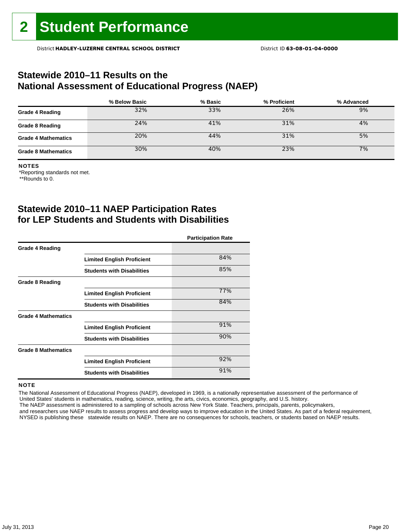### **Statewide 2010–11 Results on the National Assessment of Educational Progress (NAEP)**

|                            | % Below Basic | % Basic | % Proficient | % Advanced |
|----------------------------|---------------|---------|--------------|------------|
| <b>Grade 4 Reading</b>     | 32%           | 33%     | 26%          | 9%         |
| <b>Grade 8 Reading</b>     | 24%           | 41%     | 31%          | 4%         |
| <b>Grade 4 Mathematics</b> | 20%           | 44%     | 31%          | 5%         |
| <b>Grade 8 Mathematics</b> | 30%           | 40%     | 23%          | 7%         |

#### NOTES

\*Reporting standards not met.

\*\*Rounds to 0.

### **Statewide 2010–11 NAEP Participation Rates for LEP Students and Students with Disabilities**

|                            |                                   | <b>Participation Rate</b> |
|----------------------------|-----------------------------------|---------------------------|
| <b>Grade 4 Reading</b>     |                                   |                           |
|                            | <b>Limited English Proficient</b> | 84%                       |
|                            | <b>Students with Disabilities</b> | 85%                       |
| <b>Grade 8 Reading</b>     |                                   |                           |
|                            | <b>Limited English Proficient</b> | 77%                       |
|                            | <b>Students with Disabilities</b> | 84%                       |
| <b>Grade 4 Mathematics</b> |                                   |                           |
|                            | <b>Limited English Proficient</b> | 91%                       |
|                            | <b>Students with Disabilities</b> | 90%                       |
| <b>Grade 8 Mathematics</b> |                                   |                           |
|                            | <b>Limited English Proficient</b> | 92%                       |
|                            | <b>Students with Disabilities</b> | 91%                       |

#### **NOTE**

 The National Assessment of Educational Progress (NAEP), developed in 1969, is a nationally representative assessment of the performance of United States' students in mathematics, reading, science, writing, the arts, civics, economics, geography, and U.S. history. The NAEP assessment is administered to a sampling of schools across New York State. Teachers, principals, parents, policymakers,

 and researchers use NAEP results to assess progress and develop ways to improve education in the United States. As part of a federal requirement, NYSED is publishing these statewide results on NAEP. There are no consequences for schools, teachers, or students based on NAEP results.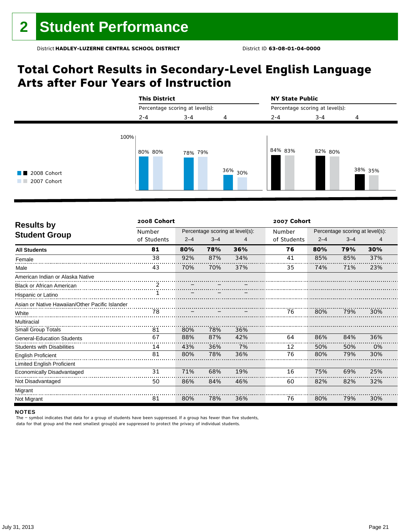## **Total Cohort Results in Secondary-Level English Language Arts after Four Years of Instruction**



| <b>Results by</b>                               | 2008 Cohort     |         |         |                                 | 2007 Cohort |                                 |         |     |  |
|-------------------------------------------------|-----------------|---------|---------|---------------------------------|-------------|---------------------------------|---------|-----|--|
|                                                 | Number          |         |         | Percentage scoring at level(s): | Number      | Percentage scoring at level(s): |         |     |  |
| <b>Student Group</b>                            | of Students     | $2 - 4$ | $3 - 4$ | 4                               | of Students | $2 - 4$                         | $3 - 4$ | 4   |  |
| <b>All Students</b>                             | 81              | 80%     | 78%     | 36%                             | 76          | 80%                             | 79%     | 30% |  |
| Female                                          | 38              | 92%     | 87%     | 34%                             | 41          | 85%                             | 85%     | 37% |  |
| Male                                            | 43              | 70%     | 70%     | 37%                             | 35          | 74%                             | 71%     | 23% |  |
| American Indian or Alaska Native                |                 |         |         |                                 |             |                                 |         |     |  |
| <b>Black or African American</b>                |                 |         |         |                                 |             |                                 |         |     |  |
| Hispanic or Latino                              |                 |         |         |                                 |             |                                 |         |     |  |
| Asian or Native Hawaiian/Other Pacific Islander |                 |         |         |                                 |             |                                 |         |     |  |
| White                                           | $\overline{78}$ |         |         |                                 | 76          | 80%                             | 79%     | 30% |  |
| Multiracial                                     |                 |         |         |                                 |             |                                 |         |     |  |
| <b>Small Group Totals</b>                       | 81              | 80%     | 78%     | 36%                             |             |                                 |         |     |  |
| <b>General-Education Students</b>               | 67              | 88%     | 87%     | 42%                             | 64          | 86%                             | 84%     | 36% |  |
| <b>Students with Disabilities</b>               | 14              | 43%     | 36%     | 7%                              | 12          | 50%                             | 50%     | 0%  |  |
| <b>English Proficient</b>                       | 81              | 80%     | 78%     | 36%                             | 76          | 80%                             | 79%     | 30% |  |
| Limited English Proficient                      |                 |         |         |                                 |             |                                 |         |     |  |
| Economically Disadvantaged                      | 31              | 71%     | 68%     | 19%                             | 16          | 75%                             | 69%     | 25% |  |
| Not Disadvantaged                               | 50              | 86%     | 84%     | 46%                             | 60          | 82%                             | 82%     | 32% |  |
| Migrant                                         |                 |         |         |                                 |             |                                 |         |     |  |
| Not Migrant                                     | 81              | 80%     | 78%     | 36%                             | 76          | 80%                             | 79%     | 30% |  |

#### NOTES

The – symbol indicates that data for a group of students have been suppressed. If a group has fewer than five students, data for that group and the next smallest group(s) are suppressed to protect the privacy of individual students.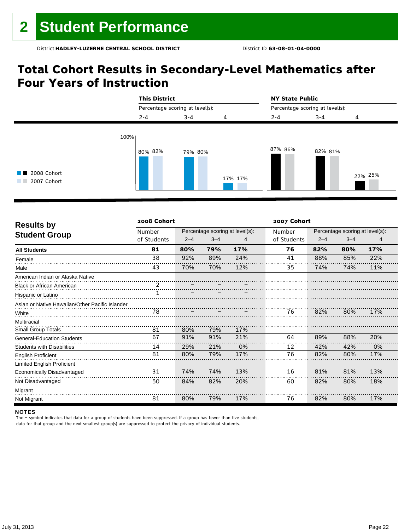## **Total Cohort Results in Secondary-Level Mathematics after Four Years of Instruction**



| <b>Results by</b>                               | 2008 Cohort |         |         |                                 | 2007 Cohort |         |                                 |     |
|-------------------------------------------------|-------------|---------|---------|---------------------------------|-------------|---------|---------------------------------|-----|
|                                                 | Number      |         |         | Percentage scoring at level(s): | Number      |         | Percentage scoring at level(s): |     |
| <b>Student Group</b>                            | of Students | $2 - 4$ | $3 - 4$ | 4                               | of Students | $2 - 4$ | $3 - 4$                         | 4   |
| <b>All Students</b>                             | 81          | 80%     | 79%     | 17%                             | 76          | 82%     | 80%                             | 17% |
| Female                                          | 38          | 92%     | 89%     | 24%                             | 41          | 88%     | 85%                             | 22% |
| Male                                            | 43          | 70%     | 70%     | 12%                             | 35          | 74%     | 74%                             | 11% |
| American Indian or Alaska Native                |             |         |         |                                 |             |         |                                 |     |
| <b>Black or African American</b>                |             |         |         |                                 |             |         |                                 |     |
| Hispanic or Latino                              |             |         |         |                                 |             |         |                                 |     |
| Asian or Native Hawaiian/Other Pacific Islander |             |         |         |                                 |             |         |                                 |     |
| White                                           | 78          |         |         |                                 | 76          | 82%     | 80%                             | 17% |
| Multiracial                                     |             |         |         |                                 |             |         |                                 |     |
| <b>Small Group Totals</b>                       | 81          | 80%     | 79%     | 17%                             |             |         |                                 |     |
| <b>General-Education Students</b>               | 67          | 91%     | 91%     | 21%                             | 64          | 89%     | 88%                             | 20% |
| Students with Disabilities                      | 14          | 29%     | 21%     | 0%                              | 12          | 42%     | 42%                             | 0%  |
| <b>English Proficient</b>                       | 81          | 80%     | 79%     | 17%                             | 76          | 82%     | 80%                             | 17% |
| <b>Limited English Proficient</b>               |             |         |         |                                 |             |         |                                 |     |
| Economically Disadvantaged                      | 31          | 74%     | 74%     | 13%                             | 16          | 81%     | 81%                             | 13% |
| Not Disadvantaged                               | 50          | 84%     | 82%     | 20%                             | 60          | 82%     | 80%                             | 18% |
| Migrant                                         |             |         |         |                                 |             |         |                                 |     |
| Not Migrant                                     | 81          | 80%     | 79%     | 17%                             | 76          | 82%     | 80%                             | 17% |

#### NOTES

The – symbol indicates that data for a group of students have been suppressed. If a group has fewer than five students, data for that group and the next smallest group(s) are suppressed to protect the privacy of individual students.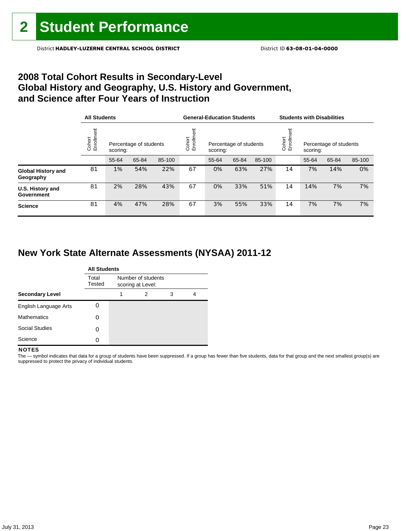### **2008 Total Cohort Results in Secondary-Level Global History and Geography, U.S. History and Government, and Science after Four Years of Instruction**

|                                        | <b>All Students</b>  |          |                        |        |                     | <b>General-Education Students</b> |                        |        | <b>Students with Disabilities</b> |                                    |       |        |
|----------------------------------------|----------------------|----------|------------------------|--------|---------------------|-----------------------------------|------------------------|--------|-----------------------------------|------------------------------------|-------|--------|
|                                        | Cohort<br>Enrollment | scoring: | Percentage of students |        | Enrollmer<br>Cohort | scoring:                          | Percentage of students |        |                                   | Percentage of students<br>scoring: |       |        |
|                                        |                      | 55-64    | 65-84                  | 85-100 |                     | 55-64                             | 65-84                  | 85-100 |                                   | 55-64                              | 65-84 | 85-100 |
| <b>Global History and</b><br>Geography | 81                   | 1%       | 54%                    | 22%    | 67                  | 0%                                | 63%                    | 27%    | 14                                | 7%                                 | 14%   | 0%     |
| U.S. History and<br>Government         | 81                   | 2%       | 28%                    | 43%    | 67                  | 0%                                | 33%                    | 51%    | 14                                | 14%                                | 7%    | 7%     |
| <b>Science</b>                         | 81                   | 4%       | 47%                    | 28%    | 67                  | 3%                                | 55%                    | 33%    | 14                                | 7%                                 | 7%    | 7%     |

### **New York State Alternate Assessments (NYSAA) 2011-12**

|                        | <b>All Students</b> |                                         |   |   |   |  |  |  |  |  |
|------------------------|---------------------|-----------------------------------------|---|---|---|--|--|--|--|--|
|                        | Total<br>Tested     | Number of students<br>scoring at Level: |   |   |   |  |  |  |  |  |
| <b>Secondary Level</b> |                     | 1                                       | 2 | 3 | 4 |  |  |  |  |  |
| English Language Arts  |                     |                                         |   |   |   |  |  |  |  |  |
| <b>Mathematics</b>     | Ω                   |                                         |   |   |   |  |  |  |  |  |
| Social Studies         | Ω                   |                                         |   |   |   |  |  |  |  |  |
| Science                |                     |                                         |   |   |   |  |  |  |  |  |

#### **NOTES**

The - symbol indicates that data for a group of students have been suppressed. If a group has fewer than five students, data for that group and the next smallest group(s) are suppressed to protect the privacy of individual students.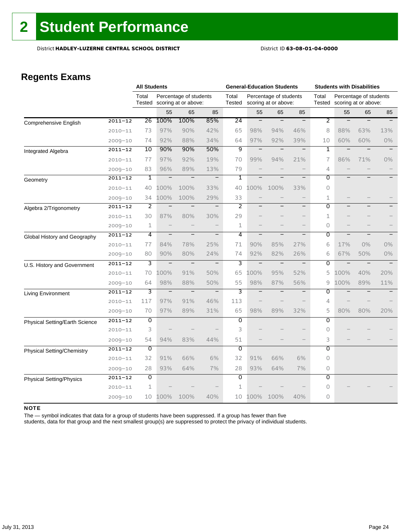## **Regents Exams**

|                                   |             | <b>All Students</b> |                          |                                                |                   |                 |                          | <b>General-Education Students</b>              |                          |                 | <b>Students with Disabilities</b> |                                                |                          |  |  |
|-----------------------------------|-------------|---------------------|--------------------------|------------------------------------------------|-------------------|-----------------|--------------------------|------------------------------------------------|--------------------------|-----------------|-----------------------------------|------------------------------------------------|--------------------------|--|--|
|                                   |             | Total<br>Tested     |                          | Percentage of students<br>scoring at or above: |                   | Total<br>Tested |                          | Percentage of students<br>scoring at or above: |                          | Total<br>Tested |                                   | Percentage of students<br>scoring at or above: |                          |  |  |
|                                   |             |                     | 55                       | 65                                             | 85                |                 | 55                       | 65                                             | 85                       |                 | 55                                | 65                                             | 85                       |  |  |
| <b>Comprehensive English</b>      | $2011 - 12$ | 26                  | 100%                     | 100%                                           | 85%               | 24              | $\overline{\phantom{0}}$ | $\equiv$                                       |                          | 2               | $\overline{\phantom{0}}$          |                                                |                          |  |  |
|                                   | $2010 - 11$ | 73                  | 97%                      | 90%                                            | 42%               | 65              | 98%                      | 94%                                            | 46%                      | 8               | 88%                               | 63%                                            | 13%                      |  |  |
|                                   | $2009 - 10$ | 74                  | 92%                      | 88%                                            | 34%               | 64              | 97%                      | 92%                                            | 39%                      | 10              | 60%                               | 60%                                            | $0\%$                    |  |  |
| Integrated Algebra                | $2011 - 12$ | 10                  | 90%                      | 90%                                            | 50%               | 9               | $\qquad \qquad -$        |                                                | $\qquad \qquad -$        | 1               |                                   |                                                | $\equiv$                 |  |  |
|                                   | $2010 - 11$ | 77                  | 97%                      | 92%                                            | 19%               | 70              | 99%                      | 94%                                            | 21%                      | 7               | 86%                               | 71%                                            | $0\%$                    |  |  |
|                                   | $2009 - 10$ | 83                  | 96%                      | 89%                                            | 13%               | 79              |                          |                                                | $\qquad \qquad -$        | 4               |                                   |                                                |                          |  |  |
| Geometry                          | $2011 - 12$ | 1                   | $\qquad \qquad -$        | $\qquad \qquad -$                              | -                 | 1               |                          |                                                | $\qquad \qquad -$        | 0               |                                   |                                                |                          |  |  |
|                                   | $2010 - 11$ | 40                  | 100%                     | 100%                                           | 33%               | 40              | 100%                     | 100%                                           | 33%                      | 0               |                                   |                                                |                          |  |  |
|                                   | $2009 - 10$ | 34                  | 100%                     | 100%                                           | 29%               | 33              |                          |                                                |                          | 1               |                                   |                                                |                          |  |  |
| Algebra 2/Trigonometry            | $2011 - 12$ | $\overline{2}$      |                          |                                                |                   | $\overline{2}$  | $\overline{\phantom{0}}$ |                                                | $\overline{\phantom{m}}$ | $\overline{0}$  | $\equiv$                          |                                                |                          |  |  |
|                                   | $2010 - 11$ | 30                  | 87%                      | 80%                                            | 30%               | 29              |                          |                                                |                          | 1               |                                   |                                                |                          |  |  |
|                                   | $2009 - 10$ | $\mathbf{1}$        |                          |                                                | $-$               | 1               |                          |                                                | $\qquad \qquad -$        | 0               |                                   |                                                |                          |  |  |
| Global History and Geography      | $2011 - 12$ | 4                   | $\overline{\phantom{0}}$ | $\frac{1}{2}$                                  | $\qquad \qquad -$ | 4               | $\overline{\phantom{0}}$ | $\equiv$                                       | $\qquad \qquad -$        | $\overline{0}$  | $\overline{\phantom{0}}$          | $\equiv$                                       |                          |  |  |
|                                   | $2010 - 11$ | 77                  | 84%                      | 78%                                            | 25%               | 71              | 90%                      | 85%                                            | 27%                      | 6               | 17%                               | $0\%$                                          | $0\%$                    |  |  |
|                                   | $2009 - 10$ | 80                  | 90%                      | 80%                                            | 24%               | 74              | 92%                      | 82%                                            | 26%                      | 6               | 67%                               | 50%                                            | 0%                       |  |  |
| U.S. History and Government       | $2011 - 12$ | 3                   | $\qquad \qquad -$        | $\overline{\phantom{m}}$                       | -                 | 3               | $\overline{\phantom{m}}$ |                                                | $\overline{\phantom{m}}$ | $\overline{0}$  | $\overline{\phantom{0}}$          |                                                | $\overline{\phantom{m}}$ |  |  |
|                                   | $2010 - 11$ | 70                  | 100%                     | 91%                                            | 50%               | 65              | 100%                     | 95%                                            | 52%                      | 5               | 100%                              | 40%                                            | 20%                      |  |  |
|                                   | $2009 - 10$ | 64                  | 98%                      | 88%                                            | 50%               | 55              | 98%                      | 87%                                            | 56%                      | 9               | 100%                              | 89%                                            | 11%                      |  |  |
| Living Environment                | $2011 - 12$ | 3                   | $\qquad \qquad -$        | $\overline{\phantom{m}}$                       |                   | 3               |                          |                                                |                          | Ō               |                                   |                                                |                          |  |  |
|                                   | $2010 - 11$ | 117                 | 97%                      | 91%                                            | 46%               | 113             |                          |                                                |                          | 4               |                                   |                                                |                          |  |  |
|                                   | $2009 - 10$ | 70                  | 97%                      | 89%                                            | 31%               | 65              | 98%                      | 89%                                            | 32%                      | 5               | 80%                               | 80%                                            | 20%                      |  |  |
| Physical Setting/Earth Science    | $2011 - 12$ | $\Omega$            |                          |                                                |                   | $\overline{0}$  |                          |                                                |                          | $\overline{0}$  |                                   |                                                |                          |  |  |
|                                   | $2010 - 11$ | 3                   |                          |                                                |                   | 3               |                          |                                                |                          | 0               |                                   |                                                |                          |  |  |
|                                   | $2009 - 10$ | 54                  | 94%                      | 83%                                            | 44%               | 51              |                          |                                                | $\overline{\phantom{0}}$ | 3               |                                   |                                                |                          |  |  |
| <b>Physical Setting/Chemistry</b> | $2011 - 12$ | O                   |                          |                                                |                   | O               |                          |                                                |                          | 0               |                                   |                                                |                          |  |  |
|                                   | $2010 - 11$ | 32                  | 91%                      | 66%                                            | 6%                | 32              | 91%                      | 66%                                            | 6%                       | 0               |                                   |                                                |                          |  |  |
|                                   | $2009 - 10$ | 28                  | 93%                      | 64%                                            | 7%                | 28              | 93%                      | 64%                                            | 7%                       | 0               |                                   |                                                |                          |  |  |
| Physical Setting/Physics          | $2011 - 12$ | $\overline{0}$      |                          |                                                |                   | $\overline{0}$  |                          |                                                |                          | Ō               |                                   |                                                |                          |  |  |
|                                   | $2010 - 11$ | $\mathbf{1}$        |                          |                                                |                   | $\mathbf{1}$    |                          |                                                |                          | 0               |                                   |                                                |                          |  |  |
|                                   | $2009 - 10$ | 10                  | 100%                     | 100%                                           | 40%               | 10              | 100%                     | 100%                                           | 40%                      | 0               |                                   |                                                |                          |  |  |

#### NOTE

The — symbol indicates that data for a group of students have been suppressed. If a group has fewer than five

students, data for that group and the next smallest group(s) are suppressed to protect the privacy of individual students.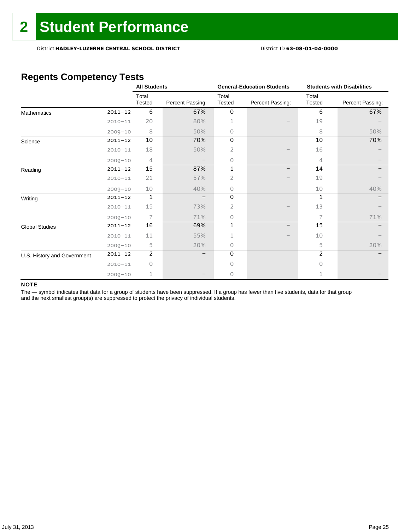District **HADLEY-LUZERNE CENTRAL SCHOOL DISTRICT** District ID **63-08-01-04-0000**

## **Regents Competency Tests**

|                             |             | <b>All Students</b> |                  |                 | <b>General-Education Students</b><br><b>Students with Disabilities</b> |                 |                  |  |  |
|-----------------------------|-------------|---------------------|------------------|-----------------|------------------------------------------------------------------------|-----------------|------------------|--|--|
|                             |             | Total<br>Tested     | Percent Passing: | Total<br>Tested | Percent Passing:                                                       | Total<br>Tested | Percent Passing: |  |  |
| Mathematics                 | $2011 - 12$ | 6                   | 67%              | 0               |                                                                        | 6               | 67%              |  |  |
|                             | $2010 - 11$ | 20                  | 80%              | 1               |                                                                        | 19              |                  |  |  |
|                             | $2009 - 10$ | 8                   | 50%              | 0               |                                                                        | 8               | 50%              |  |  |
| Science                     | $2011 - 12$ | 10                  | 70%              | 0               |                                                                        | 10              | 70%              |  |  |
|                             | $2010 - 11$ | 18                  | 50%              | 2               |                                                                        | 16              |                  |  |  |
|                             | $2009 - 10$ | 4                   |                  | 0               |                                                                        | 4               |                  |  |  |
| Reading                     | $2011 - 12$ | 15                  | 87%              | 1               | -                                                                      | 14              |                  |  |  |
|                             | $2010 - 11$ | 21                  | 57%              | 2               |                                                                        | 19              |                  |  |  |
|                             | $2009 - 10$ | 10                  | 40%              | 0               |                                                                        | 10              | 40%              |  |  |
| Writing                     | $2011 - 12$ | $\mathbf{1}$        |                  | $\Omega$        |                                                                        | 1               |                  |  |  |
|                             | $2010 - 11$ | 15                  | 73%              | $\overline{2}$  |                                                                        | 13              |                  |  |  |
|                             | $2009 - 10$ | $\overline{1}$      | 71%              | 0               |                                                                        | $\overline{7}$  | 71%              |  |  |
| <b>Global Studies</b>       | $2011 - 12$ | 16                  | 69%              | 1               | $\qquad \qquad -$                                                      | 15              |                  |  |  |
|                             | $2010 - 11$ | 11                  | 55%              | 1               |                                                                        | 10              |                  |  |  |
|                             | $2009 - 10$ | 5                   | 20%              | 0               |                                                                        | 5               | 20%              |  |  |
| U.S. History and Government | $2011 - 12$ | $\overline{2}$      | -                | $\Omega$        |                                                                        | 2               |                  |  |  |
|                             | $2010 - 11$ | 0                   |                  | Ω               |                                                                        | Ω               |                  |  |  |
|                             | $2009 - 10$ | 1                   |                  | 0               |                                                                        |                 |                  |  |  |

#### NOTE

The - symbol indicates that data for a group of students have been suppressed. If a group has fewer than five students, data for that group and the next smallest group(s) are suppressed to protect the privacy of individual students.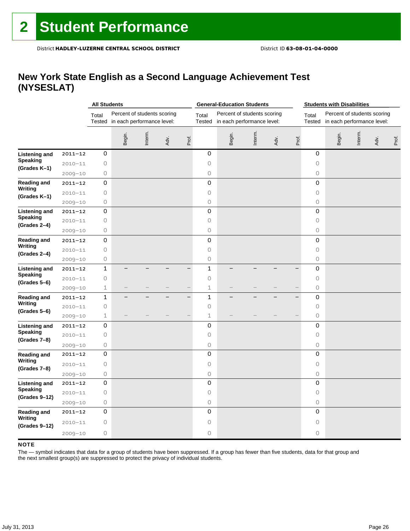### **New York State English as a Second Language Achievement Test (NYSESLAT)**

|                      |             |                     | <b>All Students</b>                                              |         |      |                          | <b>General-Education Students</b> |                                                           |         |      |       | <b>Students with Disabilities</b> |                                                                  |         |      |       |
|----------------------|-------------|---------------------|------------------------------------------------------------------|---------|------|--------------------------|-----------------------------------|-----------------------------------------------------------|---------|------|-------|-----------------------------------|------------------------------------------------------------------|---------|------|-------|
|                      |             | Total               | Percent of students scoring<br>Tested in each performance level: |         |      |                          | Total<br>Tested                   | Percent of students scoring<br>in each performance level: |         |      |       | Total                             | Percent of students scoring<br>Tested in each performance level: |         |      |       |
|                      |             |                     | Begin.                                                           | Interm. | Adv. | Prof.                    |                                   | Begin.                                                    | Interm. | Adv. | Prof. |                                   | Begin.                                                           | Interm. | Adv. | Prof. |
| <b>Listening and</b> | $2011 - 12$ | 0                   |                                                                  |         |      |                          | 0                                 |                                                           |         |      |       | 0                                 |                                                                  |         |      |       |
| Speaking             | $2010 - 11$ | 0                   |                                                                  |         |      |                          | 0                                 |                                                           |         |      |       | 0                                 |                                                                  |         |      |       |
| (Grades K-1)         | 2009-10     | 0                   |                                                                  |         |      |                          | 0                                 |                                                           |         |      |       | $\circ$                           |                                                                  |         |      |       |
| <b>Reading and</b>   | $2011 - 12$ | 0                   |                                                                  |         |      |                          | 0                                 |                                                           |         |      |       | 0                                 |                                                                  |         |      |       |
| Writing              | $2010 - 11$ | 0                   |                                                                  |         |      |                          | 0                                 |                                                           |         |      |       | $\circ$                           |                                                                  |         |      |       |
| (Grades K-1)         | $2009 - 10$ | 0                   |                                                                  |         |      |                          | 0                                 |                                                           |         |      |       | $\mathsf O$                       |                                                                  |         |      |       |
| <b>Listening and</b> | $2011 - 12$ | $\mathsf 0$         |                                                                  |         |      |                          | $\mathsf 0$                       |                                                           |         |      |       | $\mathsf 0$                       |                                                                  |         |      |       |
| Speaking             | $2010 - 11$ | 0                   |                                                                  |         |      |                          | $\circ$                           |                                                           |         |      |       | 0                                 |                                                                  |         |      |       |
| (Grades 2-4)         | $2009 - 10$ | 0                   |                                                                  |         |      |                          | 0                                 |                                                           |         |      |       | $\circ$                           |                                                                  |         |      |       |
| <b>Reading and</b>   | $2011 - 12$ | 0                   |                                                                  |         |      |                          | 0                                 |                                                           |         |      |       | 0                                 |                                                                  |         |      |       |
| Writing              | $2010 - 11$ | 0                   |                                                                  |         |      |                          | 0                                 |                                                           |         |      |       | 0                                 |                                                                  |         |      |       |
| (Grades 2-4)         | 2009-10     | 0                   |                                                                  |         |      |                          | 0                                 |                                                           |         |      |       | $\bigcirc$                        |                                                                  |         |      |       |
| Listening and        | $2011 - 12$ | 1                   |                                                                  |         |      |                          | 1                                 |                                                           |         |      |       | $\mathsf 0$                       |                                                                  |         |      |       |
| <b>Speaking</b>      | $2010 - 11$ | 0                   |                                                                  |         |      |                          | 0                                 |                                                           |         |      |       | $\circ$                           |                                                                  |         |      |       |
| $(Grades 5-6)$       | $2009 - 10$ | 1                   |                                                                  |         |      |                          | 1                                 |                                                           |         |      |       | $\circ$                           |                                                                  |         |      |       |
| <b>Reading and</b>   | $2011 - 12$ | $\mathbf 1$         |                                                                  |         |      | $\overline{\phantom{0}}$ | $\mathbf 1$                       |                                                           |         |      |       | $\mathsf 0$                       |                                                                  |         |      |       |
| Writing              | $2010 - 11$ | 0                   |                                                                  |         |      |                          | 0                                 |                                                           |         |      |       | 0                                 |                                                                  |         |      |       |
| (Grades 5–6)         | $2009 - 10$ | 1                   |                                                                  |         |      |                          | $\mathbf{1}$                      |                                                           |         |      |       | $\circ$                           |                                                                  |         |      |       |
| <b>Listening and</b> | $2011 - 12$ | $\mathsf 0$         |                                                                  |         |      |                          | $\mathsf 0$                       |                                                           |         |      |       | $\mathsf{O}\xspace$               |                                                                  |         |      |       |
| <b>Speaking</b>      | $2010 - 11$ | 0                   |                                                                  |         |      |                          | 0                                 |                                                           |         |      |       | 0                                 |                                                                  |         |      |       |
| (Grades 7-8)         | $2009 - 10$ | 0                   |                                                                  |         |      |                          | 0                                 |                                                           |         |      |       | $\circ$                           |                                                                  |         |      |       |
| <b>Reading and</b>   | $2011 - 12$ | 0                   |                                                                  |         |      |                          | 0                                 |                                                           |         |      |       | $\mathsf 0$                       |                                                                  |         |      |       |
| Writing              | $2010 - 11$ | $\circlearrowright$ |                                                                  |         |      |                          | 0                                 |                                                           |         |      |       | 0                                 |                                                                  |         |      |       |
| (Grades 7-8)         | $2009 - 10$ | 0                   |                                                                  |         |      |                          | 0                                 |                                                           |         |      |       | 0                                 |                                                                  |         |      |       |
| <b>Listening and</b> | $2011 - 12$ | 0                   |                                                                  |         |      |                          | 0                                 |                                                           |         |      |       | 0                                 |                                                                  |         |      |       |
| <b>Speaking</b>      | $2010 - 11$ | 0                   |                                                                  |         |      |                          | 0                                 |                                                           |         |      |       | 0                                 |                                                                  |         |      |       |
| (Grades 9-12)        | 2009-10     | 0                   |                                                                  |         |      |                          | $\circ$                           |                                                           |         |      |       | $\bigcirc$                        |                                                                  |         |      |       |
| <b>Reading and</b>   | $2011 - 12$ | 0                   |                                                                  |         |      |                          | 0                                 |                                                           |         |      |       | 0                                 |                                                                  |         |      |       |
| Writing              | $2010 - 11$ | 0                   |                                                                  |         |      |                          | 0                                 |                                                           |         |      |       | $\circ$                           |                                                                  |         |      |       |
| (Grades 9-12)        | $2009 - 10$ | 0                   |                                                                  |         |      |                          | 0                                 |                                                           |         |      |       | 0                                 |                                                                  |         |      |       |

#### **NOTE**

The — symbol indicates that data for a group of students have been suppressed. If a group has fewer than five students, data for that group and the next smallest group(s) are suppressed to protect the privacy of individual students.